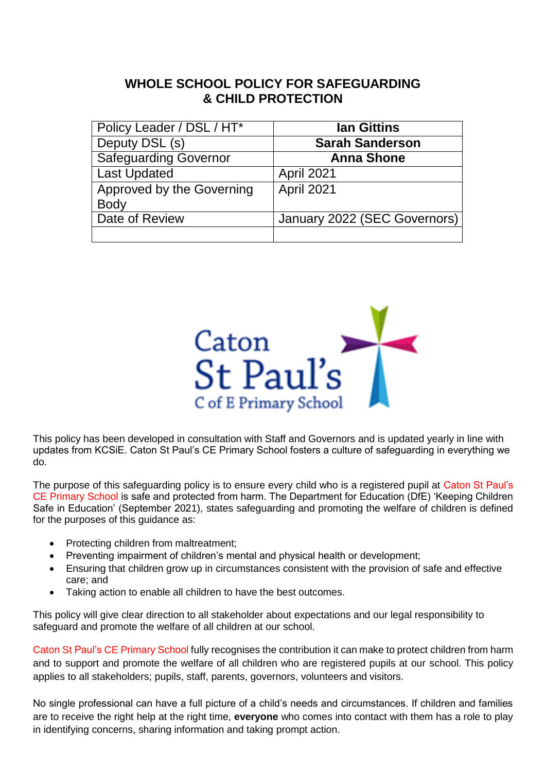## **WHOLE SCHOOL POLICY FOR SAFEGUARDING & CHILD PROTECTION**

| Policy Leader / DSL / HT*    | <b>Ian Gittins</b>           |
|------------------------------|------------------------------|
| Deputy DSL (s)               | <b>Sarah Sanderson</b>       |
| <b>Safeguarding Governor</b> | <b>Anna Shone</b>            |
| Last Updated                 | April 2021                   |
| Approved by the Governing    | <b>April 2021</b>            |
| <b>Body</b>                  |                              |
| Date of Review               | January 2022 (SEC Governors) |
|                              |                              |



This policy has been developed in consultation with Staff and Governors and is updated yearly in line with updates from KCSiE. Caton St Paul's CE Primary School fosters a culture of safeguarding in everything we do.

The purpose of this safeguarding policy is to ensure every child who is a registered pupil at Caton St Paul's CE Primary School is safe and protected from harm. The Department for Education (DfE) 'Keeping Children Safe in Education' (September 2021), states safeguarding and promoting the welfare of children is defined for the purposes of this guidance as:

- Protecting children from maltreatment;
- Preventing impairment of children's mental and physical health or development;
- Ensuring that children grow up in circumstances consistent with the provision of safe and effective care; and
- Taking action to enable all children to have the best outcomes.

This policy will give clear direction to all stakeholder about expectations and our legal responsibility to safeguard and promote the welfare of all children at our school.

Caton St Paul's CE Primary School fully recognises the contribution it can make to protect children from harm and to support and promote the welfare of all children who are registered pupils at our school. This policy applies to all stakeholders; pupils, staff, parents, governors, volunteers and visitors.

No single professional can have a full picture of a child's needs and circumstances. If children and families are to receive the right help at the right time, **everyone** who comes into contact with them has a role to play in identifying concerns, sharing information and taking prompt action.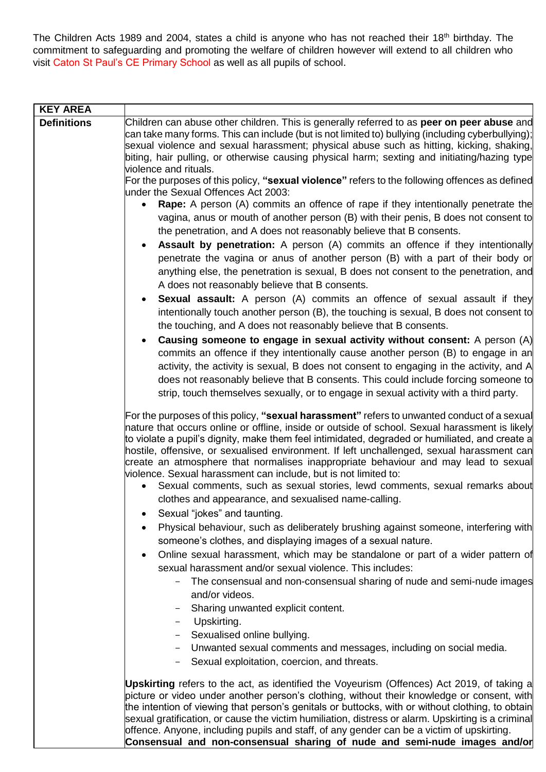The Children Acts 1989 and 2004, states a child is anyone who has not reached their 18<sup>th</sup> birthday. The commitment to safeguarding and promoting the welfare of children however will extend to all children who visit Caton St Paul's CE Primary School as well as all pupils of school.

| <b>KEY AREA</b>    |                                                                                                                                                                                                                                                                                                                                                                                                                                                                                                                                                                                                                                                                                                                                                                                                                                                                                                                                                                                                                                                                                                                                                                                               |
|--------------------|-----------------------------------------------------------------------------------------------------------------------------------------------------------------------------------------------------------------------------------------------------------------------------------------------------------------------------------------------------------------------------------------------------------------------------------------------------------------------------------------------------------------------------------------------------------------------------------------------------------------------------------------------------------------------------------------------------------------------------------------------------------------------------------------------------------------------------------------------------------------------------------------------------------------------------------------------------------------------------------------------------------------------------------------------------------------------------------------------------------------------------------------------------------------------------------------------|
| <b>Definitions</b> | Children can abuse other children. This is generally referred to as peer on peer abuse and<br>can take many forms. This can include (but is not limited to) bullying (including cyberbullying);<br>sexual violence and sexual harassment; physical abuse such as hitting, kicking, shaking,<br>biting, hair pulling, or otherwise causing physical harm; sexting and initiating/hazing type<br>violence and rituals.                                                                                                                                                                                                                                                                                                                                                                                                                                                                                                                                                                                                                                                                                                                                                                          |
|                    | For the purposes of this policy, "sexual violence" refers to the following offences as defined<br>under the Sexual Offences Act 2003:                                                                                                                                                                                                                                                                                                                                                                                                                                                                                                                                                                                                                                                                                                                                                                                                                                                                                                                                                                                                                                                         |
|                    | <b>Rape:</b> A person (A) commits an offence of rape if they intentionally penetrate the<br>$\bullet$<br>vagina, anus or mouth of another person (B) with their penis, B does not consent to<br>the penetration, and A does not reasonably believe that B consents.<br>Assault by penetration: A person (A) commits an offence if they intentionally<br>penetrate the vagina or anus of another person (B) with a part of their body or<br>anything else, the penetration is sexual, B does not consent to the penetration, and<br>A does not reasonably believe that B consents.<br><b>Sexual assault:</b> A person (A) commits an offence of sexual assault if they<br>٠<br>intentionally touch another person (B), the touching is sexual, B does not consent to<br>the touching, and A does not reasonably believe that B consents.<br>Causing someone to engage in sexual activity without consent: A person $(A)$<br>commits an offence if they intentionally cause another person (B) to engage in an<br>activity, the activity is sexual, B does not consent to engaging in the activity, and A<br>does not reasonably believe that B consents. This could include forcing someone to |
|                    | strip, touch themselves sexually, or to engage in sexual activity with a third party.                                                                                                                                                                                                                                                                                                                                                                                                                                                                                                                                                                                                                                                                                                                                                                                                                                                                                                                                                                                                                                                                                                         |
|                    | For the purposes of this policy, "sexual harassment" refers to unwanted conduct of a sexual<br>nature that occurs online or offline, inside or outside of school. Sexual harassment is likely<br>to violate a pupil's dignity, make them feel intimidated, degraded or humiliated, and create a<br>hostile, offensive, or sexualised environment. If left unchallenged, sexual harassment can<br>create an atmosphere that normalises inappropriate behaviour and may lead to sexual<br>violence. Sexual harassment can include, but is not limited to:<br>Sexual comments, such as sexual stories, lewd comments, sexual remarks about<br>$\bullet$<br>clothes and appearance, and sexualised name-calling.<br>• Sexual "jokes" and taunting.                                                                                                                                                                                                                                                                                                                                                                                                                                                |
|                    | Physical behaviour, such as deliberately brushing against someone, interfering with<br>someone's clothes, and displaying images of a sexual nature.                                                                                                                                                                                                                                                                                                                                                                                                                                                                                                                                                                                                                                                                                                                                                                                                                                                                                                                                                                                                                                           |
|                    | Online sexual harassment, which may be standalone or part of a wider pattern of<br>sexual harassment and/or sexual violence. This includes:<br>The consensual and non-consensual sharing of nude and semi-nude images                                                                                                                                                                                                                                                                                                                                                                                                                                                                                                                                                                                                                                                                                                                                                                                                                                                                                                                                                                         |
|                    | and/or videos.<br>Sharing unwanted explicit content.<br>Upskirting.<br>Sexualised online bullying.                                                                                                                                                                                                                                                                                                                                                                                                                                                                                                                                                                                                                                                                                                                                                                                                                                                                                                                                                                                                                                                                                            |
|                    | Unwanted sexual comments and messages, including on social media.<br>Sexual exploitation, coercion, and threats.<br>$-$                                                                                                                                                                                                                                                                                                                                                                                                                                                                                                                                                                                                                                                                                                                                                                                                                                                                                                                                                                                                                                                                       |
|                    | Upskirting refers to the act, as identified the Voyeurism (Offences) Act 2019, of taking a<br>picture or video under another person's clothing, without their knowledge or consent, with<br>the intention of viewing that person's genitals or buttocks, with or without clothing, to obtain<br>sexual gratification, or cause the victim humiliation, distress or alarm. Upskirting is a criminal<br>offence. Anyone, including pupils and staff, of any gender can be a victim of upskirting.                                                                                                                                                                                                                                                                                                                                                                                                                                                                                                                                                                                                                                                                                               |

**Consensual and non-consensual sharing of nude and semi-nude images and/or**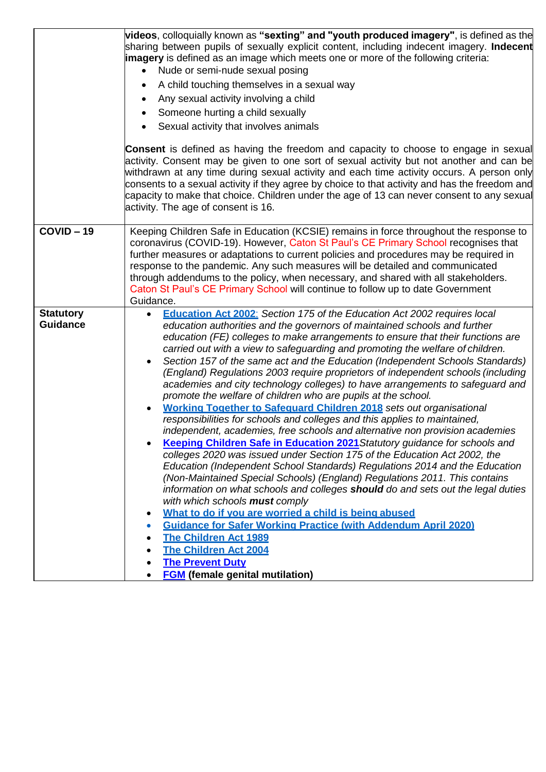|                                     | videos, colloquially known as "sexting" and "youth produced imagery", is defined as the<br>sharing between pupils of sexually explicit content, including indecent imagery. Indecent<br><b>imagery</b> is defined as an image which meets one or more of the following criteria:<br>Nude or semi-nude sexual posing<br>A child touching themselves in a sexual way<br>Any sexual activity involving a child<br>Someone hurting a child sexually<br>Sexual activity that involves animals<br><b>Consent</b> is defined as having the freedom and capacity to choose to engage in sexual<br>activity. Consent may be given to one sort of sexual activity but not another and can be<br>withdrawn at any time during sexual activity and each time activity occurs. A person only<br>consents to a sexual activity if they agree by choice to that activity and has the freedom and<br>capacity to make that choice. Children under the age of 13 can never consent to any sexual<br>activity. The age of consent is 16.                                                                                                                                                                                                                                                                                                                                                                                                                                                                                                                                                                                                                                    |
|-------------------------------------|-----------------------------------------------------------------------------------------------------------------------------------------------------------------------------------------------------------------------------------------------------------------------------------------------------------------------------------------------------------------------------------------------------------------------------------------------------------------------------------------------------------------------------------------------------------------------------------------------------------------------------------------------------------------------------------------------------------------------------------------------------------------------------------------------------------------------------------------------------------------------------------------------------------------------------------------------------------------------------------------------------------------------------------------------------------------------------------------------------------------------------------------------------------------------------------------------------------------------------------------------------------------------------------------------------------------------------------------------------------------------------------------------------------------------------------------------------------------------------------------------------------------------------------------------------------------------------------------------------------------------------------------------------------|
| $COVID - 19$                        | Keeping Children Safe in Education (KCSIE) remains in force throughout the response to<br>coronavirus (COVID-19). However, Caton St Paul's CE Primary School recognises that<br>further measures or adaptations to current policies and procedures may be required in<br>response to the pandemic. Any such measures will be detailed and communicated<br>through addendums to the policy, when necessary, and shared with all stakeholders.<br>Caton St Paul's CE Primary School will continue to follow up to date Government<br>Guidance.                                                                                                                                                                                                                                                                                                                                                                                                                                                                                                                                                                                                                                                                                                                                                                                                                                                                                                                                                                                                                                                                                                              |
| <b>Statutory</b><br><b>Guidance</b> | <b>Education Act 2002:</b> Section 175 of the Education Act 2002 requires local<br>education authorities and the governors of maintained schools and further<br>education (FE) colleges to make arrangements to ensure that their functions are<br>carried out with a view to safeguarding and promoting the welfare of children.<br>Section 157 of the same act and the Education (Independent Schools Standards)<br>(England) Regulations 2003 require proprietors of independent schools (including<br>academies and city technology colleges) to have arrangements to safeguard and<br>promote the welfare of children who are pupils at the school.<br><b>Working Together to Safequard Children 2018</b> sets out organisational<br>responsibilities for schools and colleges and this applies to maintained,<br>independent, academies, free schools and alternative non provision academies<br>Keeping Children Safe in Education 2021 Statutory guidance for schools and<br>colleges 2020 was issued under Section 175 of the Education Act 2002, the<br>Education (Independent School Standards) Regulations 2014 and the Education<br>(Non-Maintained Special Schools) (England) Regulations 2011. This contains<br>information on what schools and colleges <b>should</b> do and sets out the legal duties<br>with which schools must comply<br>What to do if you are worried a child is being abused<br>$\bullet$<br><b>Guidance for Safer Working Practice (with Addendum April 2020)</b><br>$\bullet$<br><b>The Children Act 1989</b><br><b>The Children Act 2004</b><br><b>The Prevent Duty</b><br><b>FGM</b> (female genital mutilation) |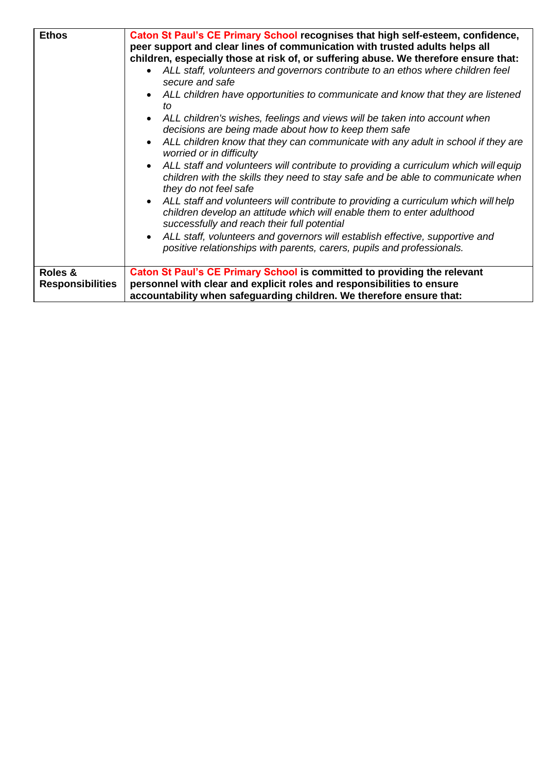| <b>Ethos</b>                       | Caton St Paul's CE Primary School recognises that high self-esteem, confidence,<br>peer support and clear lines of communication with trusted adults helps all<br>children, especially those at risk of, or suffering abuse. We therefore ensure that:<br>ALL staff, volunteers and governors contribute to an ethos where children feel<br>secure and safe<br>ALL children have opportunities to communicate and know that they are listened<br>tΩ<br>ALL children's wishes, feelings and views will be taken into account when<br>decisions are being made about how to keep them safe<br>ALL children know that they can communicate with any adult in school if they are<br>worried or in difficulty<br>ALL staff and volunteers will contribute to providing a curriculum which will equip<br>children with the skills they need to stay safe and be able to communicate when<br>they do not feel safe<br>ALL staff and volunteers will contribute to providing a curriculum which will help<br>children develop an attitude which will enable them to enter adulthood<br>successfully and reach their full potential<br>ALL staff, volunteers and governors will establish effective, supportive and<br>positive relationships with parents, carers, pupils and professionals. |
|------------------------------------|--------------------------------------------------------------------------------------------------------------------------------------------------------------------------------------------------------------------------------------------------------------------------------------------------------------------------------------------------------------------------------------------------------------------------------------------------------------------------------------------------------------------------------------------------------------------------------------------------------------------------------------------------------------------------------------------------------------------------------------------------------------------------------------------------------------------------------------------------------------------------------------------------------------------------------------------------------------------------------------------------------------------------------------------------------------------------------------------------------------------------------------------------------------------------------------------------------------------------------------------------------------------------------------|
| Roles &<br><b>Responsibilities</b> | Caton St Paul's CE Primary School is committed to providing the relevant<br>personnel with clear and explicit roles and responsibilities to ensure                                                                                                                                                                                                                                                                                                                                                                                                                                                                                                                                                                                                                                                                                                                                                                                                                                                                                                                                                                                                                                                                                                                                   |
|                                    | accountability when safeguarding children. We therefore ensure that:                                                                                                                                                                                                                                                                                                                                                                                                                                                                                                                                                                                                                                                                                                                                                                                                                                                                                                                                                                                                                                                                                                                                                                                                                 |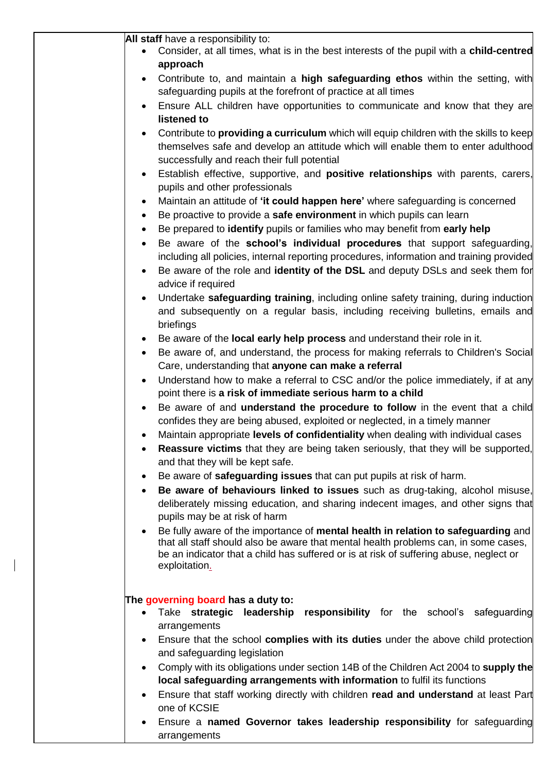| All staff have a responsibility to:<br>Consider, at all times, what is in the best interests of the pupil with a child-centred<br>approach<br>Contribute to, and maintain a high safeguarding ethos within the setting, with<br>$\bullet$<br>safeguarding pupils at the forefront of practice at all times<br>Ensure ALL children have opportunities to communicate and know that they are<br>listened to<br>Contribute to providing a curriculum which will equip children with the skills to keep<br>$\bullet$<br>themselves safe and develop an attitude which will enable them to enter adulthood<br>successfully and reach their full potential<br>Establish effective, supportive, and <b>positive relationships</b> with parents, carers,<br>$\bullet$<br>pupils and other professionals<br>Maintain an attitude of 'it could happen here' where safeguarding is concerned<br>$\bullet$<br>Be proactive to provide a safe environment in which pupils can learn<br>$\bullet$<br>Be prepared to identify pupils or families who may benefit from early help<br>$\bullet$<br>Be aware of the school's individual procedures that support safeguarding,<br>$\bullet$<br>including all policies, internal reporting procedures, information and training provided<br>Be aware of the role and identity of the DSL and deputy DSLs and seek them for<br>$\bullet$<br>advice if required<br>Undertake safeguarding training, including online safety training, during induction<br>$\bullet$<br>and subsequently on a regular basis, including receiving bulletins, emails and<br>briefings<br>Be aware of the local early help process and understand their role in it.<br>٠<br>Be aware of, and understand, the process for making referrals to Children's Social<br>$\bullet$<br>Care, understanding that anyone can make a referral<br>Understand how to make a referral to CSC and/or the police immediately, if at any<br>$\bullet$<br>point there is a risk of immediate serious harm to a child<br>Be aware of and understand the procedure to follow in the event that a child<br>$\bullet$<br>confides they are being abused, exploited or neglected, in a timely manner<br>Maintain appropriate levels of confidentiality when dealing with individual cases<br>$\bullet$<br>Reassure victims that they are being taken seriously, that they will be supported,<br>and that they will be kept safe.<br>Be aware of safeguarding issues that can put pupils at risk of harm.<br>٠<br>Be aware of behaviours linked to issues such as drug-taking, alcohol misuse,<br>$\bullet$<br>deliberately missing education, and sharing indecent images, and other signs that<br>pupils may be at risk of harm<br>Be fully aware of the importance of mental health in relation to safeguarding and<br>$\bullet$<br>that all staff should also be aware that mental health problems can, in some cases, |           |                                                                                                    |
|----------------------------------------------------------------------------------------------------------------------------------------------------------------------------------------------------------------------------------------------------------------------------------------------------------------------------------------------------------------------------------------------------------------------------------------------------------------------------------------------------------------------------------------------------------------------------------------------------------------------------------------------------------------------------------------------------------------------------------------------------------------------------------------------------------------------------------------------------------------------------------------------------------------------------------------------------------------------------------------------------------------------------------------------------------------------------------------------------------------------------------------------------------------------------------------------------------------------------------------------------------------------------------------------------------------------------------------------------------------------------------------------------------------------------------------------------------------------------------------------------------------------------------------------------------------------------------------------------------------------------------------------------------------------------------------------------------------------------------------------------------------------------------------------------------------------------------------------------------------------------------------------------------------------------------------------------------------------------------------------------------------------------------------------------------------------------------------------------------------------------------------------------------------------------------------------------------------------------------------------------------------------------------------------------------------------------------------------------------------------------------------------------------------------------------------------------------------------------------------------------------------------------------------------------------------------------------------------------------------------------------------------------------------------------------------------------------------------------------------------------------------------------------------------------------------------------------------------------------------------------------------------------------|-----------|----------------------------------------------------------------------------------------------------|
|                                                                                                                                                                                                                                                                                                                                                                                                                                                                                                                                                                                                                                                                                                                                                                                                                                                                                                                                                                                                                                                                                                                                                                                                                                                                                                                                                                                                                                                                                                                                                                                                                                                                                                                                                                                                                                                                                                                                                                                                                                                                                                                                                                                                                                                                                                                                                                                                                                                                                                                                                                                                                                                                                                                                                                                                                                                                                                          |           |                                                                                                    |
|                                                                                                                                                                                                                                                                                                                                                                                                                                                                                                                                                                                                                                                                                                                                                                                                                                                                                                                                                                                                                                                                                                                                                                                                                                                                                                                                                                                                                                                                                                                                                                                                                                                                                                                                                                                                                                                                                                                                                                                                                                                                                                                                                                                                                                                                                                                                                                                                                                                                                                                                                                                                                                                                                                                                                                                                                                                                                                          |           |                                                                                                    |
|                                                                                                                                                                                                                                                                                                                                                                                                                                                                                                                                                                                                                                                                                                                                                                                                                                                                                                                                                                                                                                                                                                                                                                                                                                                                                                                                                                                                                                                                                                                                                                                                                                                                                                                                                                                                                                                                                                                                                                                                                                                                                                                                                                                                                                                                                                                                                                                                                                                                                                                                                                                                                                                                                                                                                                                                                                                                                                          |           |                                                                                                    |
|                                                                                                                                                                                                                                                                                                                                                                                                                                                                                                                                                                                                                                                                                                                                                                                                                                                                                                                                                                                                                                                                                                                                                                                                                                                                                                                                                                                                                                                                                                                                                                                                                                                                                                                                                                                                                                                                                                                                                                                                                                                                                                                                                                                                                                                                                                                                                                                                                                                                                                                                                                                                                                                                                                                                                                                                                                                                                                          |           |                                                                                                    |
|                                                                                                                                                                                                                                                                                                                                                                                                                                                                                                                                                                                                                                                                                                                                                                                                                                                                                                                                                                                                                                                                                                                                                                                                                                                                                                                                                                                                                                                                                                                                                                                                                                                                                                                                                                                                                                                                                                                                                                                                                                                                                                                                                                                                                                                                                                                                                                                                                                                                                                                                                                                                                                                                                                                                                                                                                                                                                                          |           |                                                                                                    |
|                                                                                                                                                                                                                                                                                                                                                                                                                                                                                                                                                                                                                                                                                                                                                                                                                                                                                                                                                                                                                                                                                                                                                                                                                                                                                                                                                                                                                                                                                                                                                                                                                                                                                                                                                                                                                                                                                                                                                                                                                                                                                                                                                                                                                                                                                                                                                                                                                                                                                                                                                                                                                                                                                                                                                                                                                                                                                                          |           |                                                                                                    |
|                                                                                                                                                                                                                                                                                                                                                                                                                                                                                                                                                                                                                                                                                                                                                                                                                                                                                                                                                                                                                                                                                                                                                                                                                                                                                                                                                                                                                                                                                                                                                                                                                                                                                                                                                                                                                                                                                                                                                                                                                                                                                                                                                                                                                                                                                                                                                                                                                                                                                                                                                                                                                                                                                                                                                                                                                                                                                                          |           |                                                                                                    |
|                                                                                                                                                                                                                                                                                                                                                                                                                                                                                                                                                                                                                                                                                                                                                                                                                                                                                                                                                                                                                                                                                                                                                                                                                                                                                                                                                                                                                                                                                                                                                                                                                                                                                                                                                                                                                                                                                                                                                                                                                                                                                                                                                                                                                                                                                                                                                                                                                                                                                                                                                                                                                                                                                                                                                                                                                                                                                                          |           |                                                                                                    |
|                                                                                                                                                                                                                                                                                                                                                                                                                                                                                                                                                                                                                                                                                                                                                                                                                                                                                                                                                                                                                                                                                                                                                                                                                                                                                                                                                                                                                                                                                                                                                                                                                                                                                                                                                                                                                                                                                                                                                                                                                                                                                                                                                                                                                                                                                                                                                                                                                                                                                                                                                                                                                                                                                                                                                                                                                                                                                                          |           |                                                                                                    |
|                                                                                                                                                                                                                                                                                                                                                                                                                                                                                                                                                                                                                                                                                                                                                                                                                                                                                                                                                                                                                                                                                                                                                                                                                                                                                                                                                                                                                                                                                                                                                                                                                                                                                                                                                                                                                                                                                                                                                                                                                                                                                                                                                                                                                                                                                                                                                                                                                                                                                                                                                                                                                                                                                                                                                                                                                                                                                                          |           |                                                                                                    |
|                                                                                                                                                                                                                                                                                                                                                                                                                                                                                                                                                                                                                                                                                                                                                                                                                                                                                                                                                                                                                                                                                                                                                                                                                                                                                                                                                                                                                                                                                                                                                                                                                                                                                                                                                                                                                                                                                                                                                                                                                                                                                                                                                                                                                                                                                                                                                                                                                                                                                                                                                                                                                                                                                                                                                                                                                                                                                                          |           |                                                                                                    |
|                                                                                                                                                                                                                                                                                                                                                                                                                                                                                                                                                                                                                                                                                                                                                                                                                                                                                                                                                                                                                                                                                                                                                                                                                                                                                                                                                                                                                                                                                                                                                                                                                                                                                                                                                                                                                                                                                                                                                                                                                                                                                                                                                                                                                                                                                                                                                                                                                                                                                                                                                                                                                                                                                                                                                                                                                                                                                                          |           |                                                                                                    |
|                                                                                                                                                                                                                                                                                                                                                                                                                                                                                                                                                                                                                                                                                                                                                                                                                                                                                                                                                                                                                                                                                                                                                                                                                                                                                                                                                                                                                                                                                                                                                                                                                                                                                                                                                                                                                                                                                                                                                                                                                                                                                                                                                                                                                                                                                                                                                                                                                                                                                                                                                                                                                                                                                                                                                                                                                                                                                                          |           |                                                                                                    |
|                                                                                                                                                                                                                                                                                                                                                                                                                                                                                                                                                                                                                                                                                                                                                                                                                                                                                                                                                                                                                                                                                                                                                                                                                                                                                                                                                                                                                                                                                                                                                                                                                                                                                                                                                                                                                                                                                                                                                                                                                                                                                                                                                                                                                                                                                                                                                                                                                                                                                                                                                                                                                                                                                                                                                                                                                                                                                                          |           |                                                                                                    |
|                                                                                                                                                                                                                                                                                                                                                                                                                                                                                                                                                                                                                                                                                                                                                                                                                                                                                                                                                                                                                                                                                                                                                                                                                                                                                                                                                                                                                                                                                                                                                                                                                                                                                                                                                                                                                                                                                                                                                                                                                                                                                                                                                                                                                                                                                                                                                                                                                                                                                                                                                                                                                                                                                                                                                                                                                                                                                                          |           |                                                                                                    |
|                                                                                                                                                                                                                                                                                                                                                                                                                                                                                                                                                                                                                                                                                                                                                                                                                                                                                                                                                                                                                                                                                                                                                                                                                                                                                                                                                                                                                                                                                                                                                                                                                                                                                                                                                                                                                                                                                                                                                                                                                                                                                                                                                                                                                                                                                                                                                                                                                                                                                                                                                                                                                                                                                                                                                                                                                                                                                                          |           |                                                                                                    |
|                                                                                                                                                                                                                                                                                                                                                                                                                                                                                                                                                                                                                                                                                                                                                                                                                                                                                                                                                                                                                                                                                                                                                                                                                                                                                                                                                                                                                                                                                                                                                                                                                                                                                                                                                                                                                                                                                                                                                                                                                                                                                                                                                                                                                                                                                                                                                                                                                                                                                                                                                                                                                                                                                                                                                                                                                                                                                                          |           |                                                                                                    |
|                                                                                                                                                                                                                                                                                                                                                                                                                                                                                                                                                                                                                                                                                                                                                                                                                                                                                                                                                                                                                                                                                                                                                                                                                                                                                                                                                                                                                                                                                                                                                                                                                                                                                                                                                                                                                                                                                                                                                                                                                                                                                                                                                                                                                                                                                                                                                                                                                                                                                                                                                                                                                                                                                                                                                                                                                                                                                                          |           |                                                                                                    |
|                                                                                                                                                                                                                                                                                                                                                                                                                                                                                                                                                                                                                                                                                                                                                                                                                                                                                                                                                                                                                                                                                                                                                                                                                                                                                                                                                                                                                                                                                                                                                                                                                                                                                                                                                                                                                                                                                                                                                                                                                                                                                                                                                                                                                                                                                                                                                                                                                                                                                                                                                                                                                                                                                                                                                                                                                                                                                                          |           |                                                                                                    |
|                                                                                                                                                                                                                                                                                                                                                                                                                                                                                                                                                                                                                                                                                                                                                                                                                                                                                                                                                                                                                                                                                                                                                                                                                                                                                                                                                                                                                                                                                                                                                                                                                                                                                                                                                                                                                                                                                                                                                                                                                                                                                                                                                                                                                                                                                                                                                                                                                                                                                                                                                                                                                                                                                                                                                                                                                                                                                                          |           |                                                                                                    |
|                                                                                                                                                                                                                                                                                                                                                                                                                                                                                                                                                                                                                                                                                                                                                                                                                                                                                                                                                                                                                                                                                                                                                                                                                                                                                                                                                                                                                                                                                                                                                                                                                                                                                                                                                                                                                                                                                                                                                                                                                                                                                                                                                                                                                                                                                                                                                                                                                                                                                                                                                                                                                                                                                                                                                                                                                                                                                                          |           |                                                                                                    |
|                                                                                                                                                                                                                                                                                                                                                                                                                                                                                                                                                                                                                                                                                                                                                                                                                                                                                                                                                                                                                                                                                                                                                                                                                                                                                                                                                                                                                                                                                                                                                                                                                                                                                                                                                                                                                                                                                                                                                                                                                                                                                                                                                                                                                                                                                                                                                                                                                                                                                                                                                                                                                                                                                                                                                                                                                                                                                                          |           |                                                                                                    |
|                                                                                                                                                                                                                                                                                                                                                                                                                                                                                                                                                                                                                                                                                                                                                                                                                                                                                                                                                                                                                                                                                                                                                                                                                                                                                                                                                                                                                                                                                                                                                                                                                                                                                                                                                                                                                                                                                                                                                                                                                                                                                                                                                                                                                                                                                                                                                                                                                                                                                                                                                                                                                                                                                                                                                                                                                                                                                                          |           |                                                                                                    |
|                                                                                                                                                                                                                                                                                                                                                                                                                                                                                                                                                                                                                                                                                                                                                                                                                                                                                                                                                                                                                                                                                                                                                                                                                                                                                                                                                                                                                                                                                                                                                                                                                                                                                                                                                                                                                                                                                                                                                                                                                                                                                                                                                                                                                                                                                                                                                                                                                                                                                                                                                                                                                                                                                                                                                                                                                                                                                                          |           |                                                                                                    |
|                                                                                                                                                                                                                                                                                                                                                                                                                                                                                                                                                                                                                                                                                                                                                                                                                                                                                                                                                                                                                                                                                                                                                                                                                                                                                                                                                                                                                                                                                                                                                                                                                                                                                                                                                                                                                                                                                                                                                                                                                                                                                                                                                                                                                                                                                                                                                                                                                                                                                                                                                                                                                                                                                                                                                                                                                                                                                                          |           |                                                                                                    |
|                                                                                                                                                                                                                                                                                                                                                                                                                                                                                                                                                                                                                                                                                                                                                                                                                                                                                                                                                                                                                                                                                                                                                                                                                                                                                                                                                                                                                                                                                                                                                                                                                                                                                                                                                                                                                                                                                                                                                                                                                                                                                                                                                                                                                                                                                                                                                                                                                                                                                                                                                                                                                                                                                                                                                                                                                                                                                                          |           |                                                                                                    |
|                                                                                                                                                                                                                                                                                                                                                                                                                                                                                                                                                                                                                                                                                                                                                                                                                                                                                                                                                                                                                                                                                                                                                                                                                                                                                                                                                                                                                                                                                                                                                                                                                                                                                                                                                                                                                                                                                                                                                                                                                                                                                                                                                                                                                                                                                                                                                                                                                                                                                                                                                                                                                                                                                                                                                                                                                                                                                                          |           |                                                                                                    |
|                                                                                                                                                                                                                                                                                                                                                                                                                                                                                                                                                                                                                                                                                                                                                                                                                                                                                                                                                                                                                                                                                                                                                                                                                                                                                                                                                                                                                                                                                                                                                                                                                                                                                                                                                                                                                                                                                                                                                                                                                                                                                                                                                                                                                                                                                                                                                                                                                                                                                                                                                                                                                                                                                                                                                                                                                                                                                                          |           |                                                                                                    |
|                                                                                                                                                                                                                                                                                                                                                                                                                                                                                                                                                                                                                                                                                                                                                                                                                                                                                                                                                                                                                                                                                                                                                                                                                                                                                                                                                                                                                                                                                                                                                                                                                                                                                                                                                                                                                                                                                                                                                                                                                                                                                                                                                                                                                                                                                                                                                                                                                                                                                                                                                                                                                                                                                                                                                                                                                                                                                                          |           |                                                                                                    |
|                                                                                                                                                                                                                                                                                                                                                                                                                                                                                                                                                                                                                                                                                                                                                                                                                                                                                                                                                                                                                                                                                                                                                                                                                                                                                                                                                                                                                                                                                                                                                                                                                                                                                                                                                                                                                                                                                                                                                                                                                                                                                                                                                                                                                                                                                                                                                                                                                                                                                                                                                                                                                                                                                                                                                                                                                                                                                                          |           |                                                                                                    |
|                                                                                                                                                                                                                                                                                                                                                                                                                                                                                                                                                                                                                                                                                                                                                                                                                                                                                                                                                                                                                                                                                                                                                                                                                                                                                                                                                                                                                                                                                                                                                                                                                                                                                                                                                                                                                                                                                                                                                                                                                                                                                                                                                                                                                                                                                                                                                                                                                                                                                                                                                                                                                                                                                                                                                                                                                                                                                                          |           |                                                                                                    |
| exploitation.                                                                                                                                                                                                                                                                                                                                                                                                                                                                                                                                                                                                                                                                                                                                                                                                                                                                                                                                                                                                                                                                                                                                                                                                                                                                                                                                                                                                                                                                                                                                                                                                                                                                                                                                                                                                                                                                                                                                                                                                                                                                                                                                                                                                                                                                                                                                                                                                                                                                                                                                                                                                                                                                                                                                                                                                                                                                                            |           | be an indicator that a child has suffered or is at risk of suffering abuse, neglect or             |
|                                                                                                                                                                                                                                                                                                                                                                                                                                                                                                                                                                                                                                                                                                                                                                                                                                                                                                                                                                                                                                                                                                                                                                                                                                                                                                                                                                                                                                                                                                                                                                                                                                                                                                                                                                                                                                                                                                                                                                                                                                                                                                                                                                                                                                                                                                                                                                                                                                                                                                                                                                                                                                                                                                                                                                                                                                                                                                          |           |                                                                                                    |
| Take strategic leadership responsibility for the school's safeguarding                                                                                                                                                                                                                                                                                                                                                                                                                                                                                                                                                                                                                                                                                                                                                                                                                                                                                                                                                                                                                                                                                                                                                                                                                                                                                                                                                                                                                                                                                                                                                                                                                                                                                                                                                                                                                                                                                                                                                                                                                                                                                                                                                                                                                                                                                                                                                                                                                                                                                                                                                                                                                                                                                                                                                                                                                                   |           | arrangements                                                                                       |
|                                                                                                                                                                                                                                                                                                                                                                                                                                                                                                                                                                                                                                                                                                                                                                                                                                                                                                                                                                                                                                                                                                                                                                                                                                                                                                                                                                                                                                                                                                                                                                                                                                                                                                                                                                                                                                                                                                                                                                                                                                                                                                                                                                                                                                                                                                                                                                                                                                                                                                                                                                                                                                                                                                                                                                                                                                                                                                          | $\bullet$ | Ensure that the school complies with its duties under the above child protection                   |
|                                                                                                                                                                                                                                                                                                                                                                                                                                                                                                                                                                                                                                                                                                                                                                                                                                                                                                                                                                                                                                                                                                                                                                                                                                                                                                                                                                                                                                                                                                                                                                                                                                                                                                                                                                                                                                                                                                                                                                                                                                                                                                                                                                                                                                                                                                                                                                                                                                                                                                                                                                                                                                                                                                                                                                                                                                                                                                          | $\bullet$ |                                                                                                    |
| and safeguarding legislation                                                                                                                                                                                                                                                                                                                                                                                                                                                                                                                                                                                                                                                                                                                                                                                                                                                                                                                                                                                                                                                                                                                                                                                                                                                                                                                                                                                                                                                                                                                                                                                                                                                                                                                                                                                                                                                                                                                                                                                                                                                                                                                                                                                                                                                                                                                                                                                                                                                                                                                                                                                                                                                                                                                                                                                                                                                                             |           | local safeguarding arrangements with information to fulfil its functions                           |
| Comply with its obligations under section 14B of the Children Act 2004 to supply the                                                                                                                                                                                                                                                                                                                                                                                                                                                                                                                                                                                                                                                                                                                                                                                                                                                                                                                                                                                                                                                                                                                                                                                                                                                                                                                                                                                                                                                                                                                                                                                                                                                                                                                                                                                                                                                                                                                                                                                                                                                                                                                                                                                                                                                                                                                                                                                                                                                                                                                                                                                                                                                                                                                                                                                                                     |           | Ensure that staff working directly with children read and understand at least Part<br>one of KCSIE |

 $\overline{\phantom{a}}$ 

• Ensure a **named Governor takes leadership responsibility** for safeguarding arrangements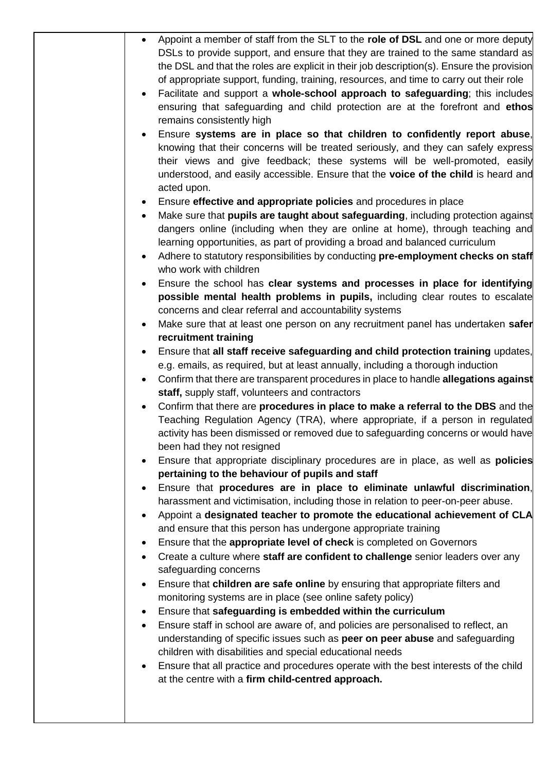| of appropriate support, funding, training, resources, and time to carry out their role<br>remains consistently high<br>acted upon.<br>Ensure effective and appropriate policies and procedures in place<br>learning opportunities, as part of providing a broad and balanced curriculum<br>who work with children<br>concerns and clear referral and accountability systems<br>recruitment training<br>e.g. emails, as required, but at least annually, including a thorough induction<br>staff, supply staff, volunteers and contractors<br>been had they not resigned<br>pertaining to the behaviour of pupils and staff<br>harassment and victimisation, including those in relation to peer-on-peer abuse.<br>and ensure that this person has undergone appropriate training<br>Ensure that the appropriate level of check is completed on Governors<br>Create a culture where staff are confident to challenge senior leaders over any<br>safeguarding concerns<br>Ensure that children are safe online by ensuring that appropriate filters and<br>monitoring systems are in place (see online safety policy)<br>Ensure that safeguarding is embedded within the curriculum<br>Ensure staff in school are aware of, and policies are personalised to reflect, an<br>understanding of specific issues such as peer on peer abuse and safeguarding<br>children with disabilities and special educational needs<br>Ensure that all practice and procedures operate with the best interests of the child<br>at the centre with a firm child-centred approach. |  |                                                                                                                                                                                                                                                                                                                                                                                                                                                                                                                                                                                                                                                                                                                                                                                                                                                                                                                                                                                                                                                                                                                                                                                                                                                                                                                                                                                                                                                                                                                                                                                                                                                                                                                                                                                                                                                                                                                                                                                          |
|-----------------------------------------------------------------------------------------------------------------------------------------------------------------------------------------------------------------------------------------------------------------------------------------------------------------------------------------------------------------------------------------------------------------------------------------------------------------------------------------------------------------------------------------------------------------------------------------------------------------------------------------------------------------------------------------------------------------------------------------------------------------------------------------------------------------------------------------------------------------------------------------------------------------------------------------------------------------------------------------------------------------------------------------------------------------------------------------------------------------------------------------------------------------------------------------------------------------------------------------------------------------------------------------------------------------------------------------------------------------------------------------------------------------------------------------------------------------------------------------------------------------------------------------------------------------|--|------------------------------------------------------------------------------------------------------------------------------------------------------------------------------------------------------------------------------------------------------------------------------------------------------------------------------------------------------------------------------------------------------------------------------------------------------------------------------------------------------------------------------------------------------------------------------------------------------------------------------------------------------------------------------------------------------------------------------------------------------------------------------------------------------------------------------------------------------------------------------------------------------------------------------------------------------------------------------------------------------------------------------------------------------------------------------------------------------------------------------------------------------------------------------------------------------------------------------------------------------------------------------------------------------------------------------------------------------------------------------------------------------------------------------------------------------------------------------------------------------------------------------------------------------------------------------------------------------------------------------------------------------------------------------------------------------------------------------------------------------------------------------------------------------------------------------------------------------------------------------------------------------------------------------------------------------------------------------------------|
|                                                                                                                                                                                                                                                                                                                                                                                                                                                                                                                                                                                                                                                                                                                                                                                                                                                                                                                                                                                                                                                                                                                                                                                                                                                                                                                                                                                                                                                                                                                                                                 |  | Appoint a member of staff from the SLT to the role of DSL and one or more deputy<br>DSLs to provide support, and ensure that they are trained to the same standard as<br>the DSL and that the roles are explicit in their job description(s). Ensure the provision<br>Facilitate and support a whole-school approach to safeguarding; this includes<br>ensuring that safeguarding and child protection are at the forefront and ethos<br>Ensure systems are in place so that children to confidently report abuse,<br>knowing that their concerns will be treated seriously, and they can safely express<br>their views and give feedback; these systems will be well-promoted, easily<br>understood, and easily accessible. Ensure that the voice of the child is heard and<br>Make sure that pupils are taught about safeguarding, including protection against<br>dangers online (including when they are online at home), through teaching and<br>Adhere to statutory responsibilities by conducting pre-employment checks on staff<br>Ensure the school has clear systems and processes in place for identifying<br>possible mental health problems in pupils, including clear routes to escalate<br>Make sure that at least one person on any recruitment panel has undertaken safer<br>Ensure that all staff receive safeguarding and child protection training updates,<br>Confirm that there are transparent procedures in place to handle allegations against<br>Confirm that there are procedures in place to make a referral to the DBS and the<br>Teaching Regulation Agency (TRA), where appropriate, if a person in regulated<br>activity has been dismissed or removed due to safeguarding concerns or would have<br>Ensure that appropriate disciplinary procedures are in place, as well as <b>policies</b><br>Ensure that procedures are in place to eliminate unlawful discrimination,<br>Appoint a designated teacher to promote the educational achievement of CLA |
|                                                                                                                                                                                                                                                                                                                                                                                                                                                                                                                                                                                                                                                                                                                                                                                                                                                                                                                                                                                                                                                                                                                                                                                                                                                                                                                                                                                                                                                                                                                                                                 |  |                                                                                                                                                                                                                                                                                                                                                                                                                                                                                                                                                                                                                                                                                                                                                                                                                                                                                                                                                                                                                                                                                                                                                                                                                                                                                                                                                                                                                                                                                                                                                                                                                                                                                                                                                                                                                                                                                                                                                                                          |
|                                                                                                                                                                                                                                                                                                                                                                                                                                                                                                                                                                                                                                                                                                                                                                                                                                                                                                                                                                                                                                                                                                                                                                                                                                                                                                                                                                                                                                                                                                                                                                 |  |                                                                                                                                                                                                                                                                                                                                                                                                                                                                                                                                                                                                                                                                                                                                                                                                                                                                                                                                                                                                                                                                                                                                                                                                                                                                                                                                                                                                                                                                                                                                                                                                                                                                                                                                                                                                                                                                                                                                                                                          |
|                                                                                                                                                                                                                                                                                                                                                                                                                                                                                                                                                                                                                                                                                                                                                                                                                                                                                                                                                                                                                                                                                                                                                                                                                                                                                                                                                                                                                                                                                                                                                                 |  |                                                                                                                                                                                                                                                                                                                                                                                                                                                                                                                                                                                                                                                                                                                                                                                                                                                                                                                                                                                                                                                                                                                                                                                                                                                                                                                                                                                                                                                                                                                                                                                                                                                                                                                                                                                                                                                                                                                                                                                          |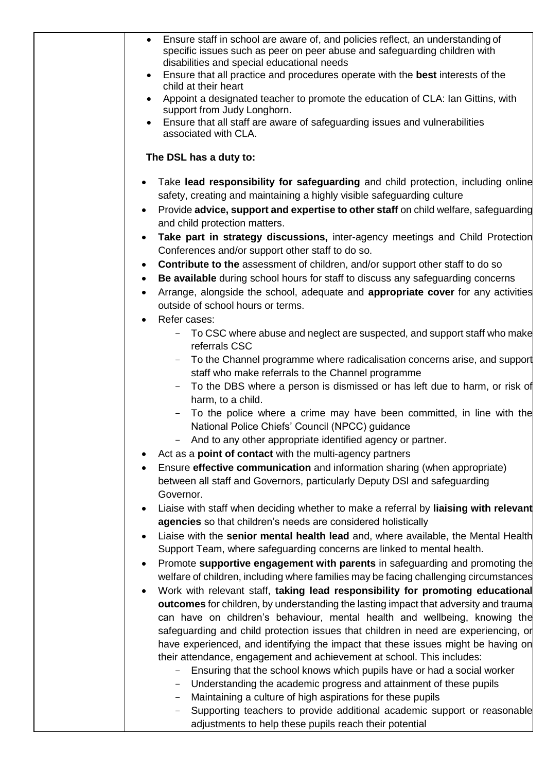| Ensure staff in school are aware of, and policies reflect, an understanding of<br>specific issues such as peer on peer abuse and safeguarding children with<br>disabilities and special educational needs<br>Ensure that all practice and procedures operate with the best interests of the<br>child at their heart<br>Appoint a designated teacher to promote the education of CLA: Ian Gittins, with<br>support from Judy Longhorn.<br>Ensure that all staff are aware of safeguarding issues and vulnerabilities<br>associated with CLA.                                                                                                                                                                                                                                                                                                                                                                                                                                                                                                                                                                                                                                                                                                                                                                                                                                                                                                                                                                                               |
|-------------------------------------------------------------------------------------------------------------------------------------------------------------------------------------------------------------------------------------------------------------------------------------------------------------------------------------------------------------------------------------------------------------------------------------------------------------------------------------------------------------------------------------------------------------------------------------------------------------------------------------------------------------------------------------------------------------------------------------------------------------------------------------------------------------------------------------------------------------------------------------------------------------------------------------------------------------------------------------------------------------------------------------------------------------------------------------------------------------------------------------------------------------------------------------------------------------------------------------------------------------------------------------------------------------------------------------------------------------------------------------------------------------------------------------------------------------------------------------------------------------------------------------------|
| The DSL has a duty to:                                                                                                                                                                                                                                                                                                                                                                                                                                                                                                                                                                                                                                                                                                                                                                                                                                                                                                                                                                                                                                                                                                                                                                                                                                                                                                                                                                                                                                                                                                                    |
| Take lead responsibility for safeguarding and child protection, including online<br>safety, creating and maintaining a highly visible safeguarding culture<br>Provide advice, support and expertise to other staff on child welfare, safeguarding<br>$\bullet$<br>and child protection matters.<br>Take part in strategy discussions, inter-agency meetings and Child Protection<br>Conferences and/or support other staff to do so.<br>Contribute to the assessment of children, and/or support other staff to do so<br>$\bullet$<br>Be available during school hours for staff to discuss any safeguarding concerns<br>٠<br>Arrange, alongside the school, adequate and appropriate cover for any activities<br>$\bullet$<br>outside of school hours or terms.<br>Refer cases:<br>To CSC where abuse and neglect are suspected, and support staff who make<br>referrals CSC<br>To the Channel programme where radicalisation concerns arise, and support<br>staff who make referrals to the Channel programme<br>To the DBS where a person is dismissed or has left due to harm, or risk of<br>harm, to a child.<br>To the police where a crime may have been committed, in line with the<br>National Police Chiefs' Council (NPCC) guidance<br>And to any other appropriate identified agency or partner.<br>Act as a <b>point of contact</b> with the multi-agency partners<br>Ensure effective communication and information sharing (when appropriate)<br>between all staff and Governors, particularly Deputy DSI and safeguarding |
| Governor.<br>Liaise with staff when deciding whether to make a referral by liaising with relevant<br>agencies so that children's needs are considered holistically<br>Liaise with the senior mental health lead and, where available, the Mental Health<br>Support Team, where safeguarding concerns are linked to mental health.<br>Promote supportive engagement with parents in safeguarding and promoting the<br>welfare of children, including where families may be facing challenging circumstances<br>Work with relevant staff, taking lead responsibility for promoting educational<br>outcomes for children, by understanding the lasting impact that adversity and trauma<br>can have on children's behaviour, mental health and wellbeing, knowing the<br>safeguarding and child protection issues that children in need are experiencing, or<br>have experienced, and identifying the impact that these issues might be having on<br>their attendance, engagement and achievement at school. This includes:<br>Ensuring that the school knows which pupils have or had a social worker<br>$\overline{\phantom{0}}$<br>Understanding the academic progress and attainment of these pupils<br>Maintaining a culture of high aspirations for these pupils<br>$\qquad \qquad -$<br>Supporting teachers to provide additional academic support or reasonable<br>$\qquad \qquad -$<br>adjustments to help these pupils reach their potential                                                                                       |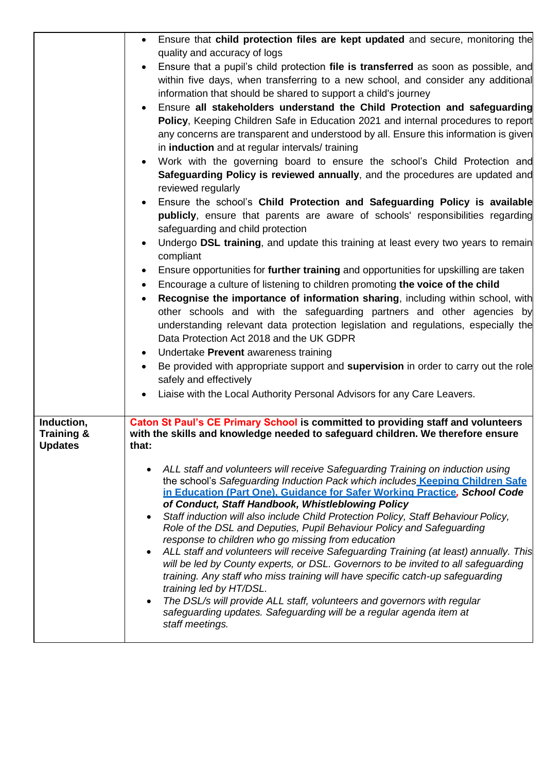|                                                       | Ensure that child protection files are kept updated and secure, monitoring the<br>$\bullet$                                                                                                                                                  |
|-------------------------------------------------------|----------------------------------------------------------------------------------------------------------------------------------------------------------------------------------------------------------------------------------------------|
|                                                       | quality and accuracy of logs                                                                                                                                                                                                                 |
|                                                       | Ensure that a pupil's child protection file is transferred as soon as possible, and<br>$\bullet$                                                                                                                                             |
|                                                       | within five days, when transferring to a new school, and consider any additional                                                                                                                                                             |
|                                                       | information that should be shared to support a child's journey                                                                                                                                                                               |
|                                                       | Ensure all stakeholders understand the Child Protection and safeguarding                                                                                                                                                                     |
|                                                       | Policy, Keeping Children Safe in Education 2021 and internal procedures to report                                                                                                                                                            |
|                                                       | any concerns are transparent and understood by all. Ensure this information is given                                                                                                                                                         |
|                                                       | in induction and at regular intervals/ training                                                                                                                                                                                              |
|                                                       | Work with the governing board to ensure the school's Child Protection and<br>$\bullet$                                                                                                                                                       |
|                                                       | Safeguarding Policy is reviewed annually, and the procedures are updated and<br>reviewed regularly                                                                                                                                           |
|                                                       | Ensure the school's Child Protection and Safeguarding Policy is available<br>$\bullet$                                                                                                                                                       |
|                                                       | publicly, ensure that parents are aware of schools' responsibilities regarding<br>safeguarding and child protection                                                                                                                          |
|                                                       | Undergo DSL training, and update this training at least every two years to remain<br>$\bullet$<br>compliant                                                                                                                                  |
|                                                       | Ensure opportunities for further training and opportunities for upskilling are taken<br>$\bullet$                                                                                                                                            |
|                                                       | Encourage a culture of listening to children promoting the voice of the child<br>$\bullet$                                                                                                                                                   |
|                                                       | Recognise the importance of information sharing, including within school, with<br>$\bullet$                                                                                                                                                  |
|                                                       | other schools and with the safeguarding partners and other agencies by                                                                                                                                                                       |
|                                                       | understanding relevant data protection legislation and regulations, especially the                                                                                                                                                           |
|                                                       | Data Protection Act 2018 and the UK GDPR                                                                                                                                                                                                     |
|                                                       | Undertake Prevent awareness training<br>$\bullet$                                                                                                                                                                                            |
|                                                       | Be provided with appropriate support and supervision in order to carry out the role                                                                                                                                                          |
|                                                       | safely and effectively                                                                                                                                                                                                                       |
|                                                       | Liaise with the Local Authority Personal Advisors for any Care Leavers.                                                                                                                                                                      |
|                                                       |                                                                                                                                                                                                                                              |
| Induction,<br><b>Training &amp;</b><br><b>Updates</b> | Caton St Paul's CE Primary School is committed to providing staff and volunteers<br>with the skills and knowledge needed to safeguard children. We therefore ensure<br>that:                                                                 |
|                                                       |                                                                                                                                                                                                                                              |
|                                                       | ALL staff and volunteers will receive Safeguarding Training on induction using<br>the school's Safeguarding Induction Pack which includes Keeping Children Safe<br>in Education (Part One), Guidance for Safer Working Practice, School Code |
|                                                       | of Conduct, Staff Handbook, Whistleblowing Policy<br>Staff induction will also include Child Protection Policy, Staff Behaviour Policy,                                                                                                      |
|                                                       | Role of the DSL and Deputies, Pupil Behaviour Policy and Safeguarding                                                                                                                                                                        |
|                                                       | response to children who go missing from education                                                                                                                                                                                           |
|                                                       | ALL staff and volunteers will receive Safeguarding Training (at least) annually. This                                                                                                                                                        |
|                                                       | will be led by County experts, or DSL. Governors to be invited to all safeguarding                                                                                                                                                           |
|                                                       | training. Any staff who miss training will have specific catch-up safeguarding                                                                                                                                                               |
|                                                       | training led by HT/DSL.<br>The DSL/s will provide ALL staff, volunteers and governors with regular                                                                                                                                           |
|                                                       | safeguarding updates. Safeguarding will be a regular agenda item at                                                                                                                                                                          |
|                                                       | staff meetings.                                                                                                                                                                                                                              |
|                                                       |                                                                                                                                                                                                                                              |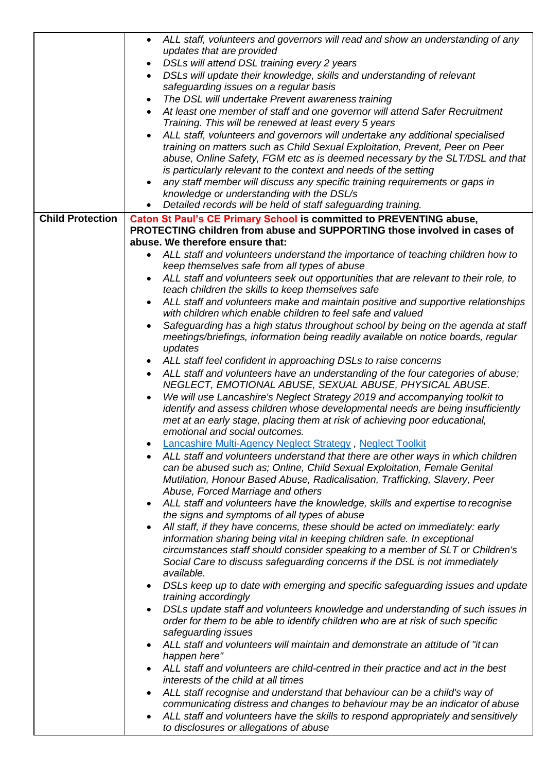|                         | ALL staff, volunteers and governors will read and show an understanding of any<br>$\bullet$<br>updates that are provided<br>DSLs will attend DSL training every 2 years<br>DSLs will update their knowledge, skills and understanding of relevant<br>$\bullet$<br>safeguarding issues on a regular basis<br>The DSL will undertake Prevent awareness training |
|-------------------------|---------------------------------------------------------------------------------------------------------------------------------------------------------------------------------------------------------------------------------------------------------------------------------------------------------------------------------------------------------------|
|                         | At least one member of staff and one governor will attend Safer Recruitment<br>Training. This will be renewed at least every 5 years                                                                                                                                                                                                                          |
|                         | ALL staff, volunteers and governors will undertake any additional specialised<br>training on matters such as Child Sexual Exploitation, Prevent, Peer on Peer<br>abuse, Online Safety, FGM etc as is deemed necessary by the SLT/DSL and that                                                                                                                 |
|                         | is particularly relevant to the context and needs of the setting<br>any staff member will discuss any specific training requirements or gaps in                                                                                                                                                                                                               |
|                         | knowledge or understanding with the DSL/s<br>Detailed records will be held of staff safeguarding training.<br>$\bullet$                                                                                                                                                                                                                                       |
| <b>Child Protection</b> | <b>Caton St Paul's CE Primary School is committed to PREVENTING abuse,</b>                                                                                                                                                                                                                                                                                    |
|                         | PROTECTING children from abuse and SUPPORTING those involved in cases of<br>abuse. We therefore ensure that:                                                                                                                                                                                                                                                  |
|                         | ALL staff and volunteers understand the importance of teaching children how to                                                                                                                                                                                                                                                                                |
|                         | keep themselves safe from all types of abuse                                                                                                                                                                                                                                                                                                                  |
|                         | ALL staff and volunteers seek out opportunities that are relevant to their role, to                                                                                                                                                                                                                                                                           |
|                         | teach children the skills to keep themselves safe<br>ALL staff and volunteers make and maintain positive and supportive relationships                                                                                                                                                                                                                         |
|                         | with children which enable children to feel safe and valued                                                                                                                                                                                                                                                                                                   |
|                         | Safeguarding has a high status throughout school by being on the agenda at staff                                                                                                                                                                                                                                                                              |
|                         | meetings/briefings, information being readily available on notice boards, regular<br>updates                                                                                                                                                                                                                                                                  |
|                         | ALL staff feel confident in approaching DSLs to raise concerns                                                                                                                                                                                                                                                                                                |
|                         | ALL staff and volunteers have an understanding of the four categories of abuse;<br>$\bullet$<br>NEGLECT, EMOTIONAL ABUSE, SEXUAL ABUSE, PHYSICAL ABUSE.                                                                                                                                                                                                       |
|                         | We will use Lancashire's Neglect Strategy 2019 and accompanying toolkit to<br>identify and assess children whose developmental needs are being insufficiently<br>met at an early stage, placing them at risk of achieving poor educational,                                                                                                                   |
|                         | emotional and social outcomes.                                                                                                                                                                                                                                                                                                                                |
|                         | Lancashire Multi-Agency Neglect Strategy, Neglect Toolkit<br>ALL staff and volunteers understand that there are other ways in which children                                                                                                                                                                                                                  |
|                         | can be abused such as; Online, Child Sexual Exploitation, Female Genital<br>Mutilation, Honour Based Abuse, Radicalisation, Trafficking, Slavery, Peer<br>Abuse, Forced Marriage and others                                                                                                                                                                   |
|                         | ALL staff and volunteers have the knowledge, skills and expertise to recognise<br>the signs and symptoms of all types of abuse                                                                                                                                                                                                                                |
|                         | All staff, if they have concerns, these should be acted on immediately: early                                                                                                                                                                                                                                                                                 |
|                         | information sharing being vital in keeping children safe. In exceptional<br>circumstances staff should consider speaking to a member of SLT or Children's                                                                                                                                                                                                     |
|                         | Social Care to discuss safeguarding concerns if the DSL is not immediately<br>available.                                                                                                                                                                                                                                                                      |
|                         | DSLs keep up to date with emerging and specific safeguarding issues and update<br>training accordingly                                                                                                                                                                                                                                                        |
|                         | DSLs update staff and volunteers knowledge and understanding of such issues in<br>order for them to be able to identify children who are at risk of such specific<br>safeguarding issues                                                                                                                                                                      |
|                         | ALL staff and volunteers will maintain and demonstrate an attitude of "it can<br>happen here"                                                                                                                                                                                                                                                                 |
|                         | ALL staff and volunteers are child-centred in their practice and act in the best<br>interests of the child at all times                                                                                                                                                                                                                                       |
|                         | ALL staff recognise and understand that behaviour can be a child's way of                                                                                                                                                                                                                                                                                     |
|                         | communicating distress and changes to behaviour may be an indicator of abuse<br>ALL staff and volunteers have the skills to respond appropriately and sensitively                                                                                                                                                                                             |
|                         | to disclosures or allegations of abuse                                                                                                                                                                                                                                                                                                                        |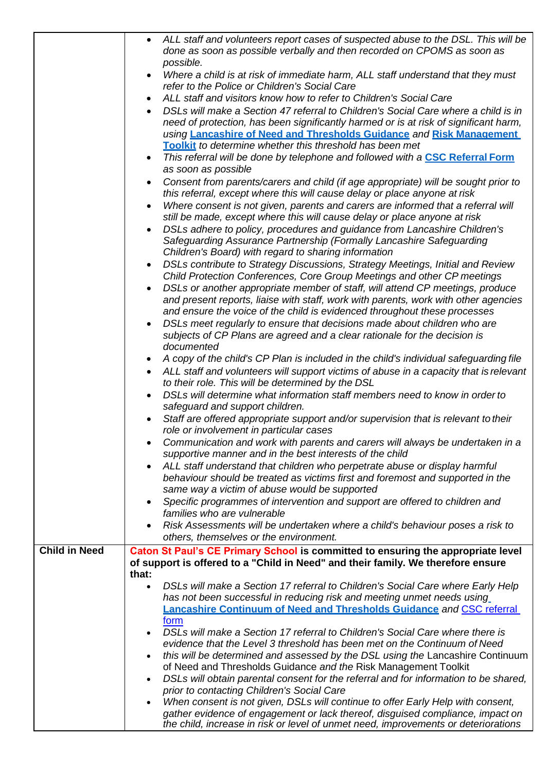|                      | ALL staff and volunteers report cases of suspected abuse to the DSL. This will be<br>$\bullet$  |
|----------------------|-------------------------------------------------------------------------------------------------|
|                      | done as soon as possible verbally and then recorded on CPOMS as soon as                         |
|                      | possible.                                                                                       |
|                      | Where a child is at risk of immediate harm, ALL staff understand that they must                 |
|                      | refer to the Police or Children's Social Care                                                   |
|                      | ALL staff and visitors know how to refer to Children's Social Care<br>$\bullet$                 |
|                      | DSLs will make a Section 47 referral to Children's Social Care where a child is in<br>$\bullet$ |
|                      | need of protection, has been significantly harmed or is at risk of significant harm,            |
|                      | using Lancashire of Need and Thresholds Guidance and Risk Management                            |
|                      | Toolkit to determine whether this threshold has been met                                        |
|                      | This referral will be done by telephone and followed with a CSC Referral Form<br>$\bullet$      |
|                      | as soon as possible                                                                             |
|                      | Consent from parents/carers and child (if age appropriate) will be sought prior to<br>$\bullet$ |
|                      | this referral, except where this will cause delay or place anyone at risk                       |
|                      | Where consent is not given, parents and carers are informed that a referral will                |
|                      | still be made, except where this will cause delay or place anyone at risk                       |
|                      | DSLs adhere to policy, procedures and guidance from Lancashire Children's                       |
|                      | Safeguarding Assurance Partnership (Formally Lancashire Safeguarding                            |
|                      | Children's Board) with regard to sharing information                                            |
|                      | DSLs contribute to Strategy Discussions, Strategy Meetings, Initial and Review<br>$\bullet$     |
|                      | Child Protection Conferences, Core Group Meetings and other CP meetings                         |
|                      | DSLs or another appropriate member of staff, will attend CP meetings, produce                   |
|                      | and present reports, liaise with staff, work with parents, work with other agencies             |
|                      | and ensure the voice of the child is evidenced throughout these processes                       |
|                      | DSLs meet regularly to ensure that decisions made about children who are                        |
|                      | subjects of CP Plans are agreed and a clear rationale for the decision is                       |
|                      | documented                                                                                      |
|                      | A copy of the child's CP Plan is included in the child's individual safeguarding file           |
|                      | ALL staff and volunteers will support victims of abuse in a capacity that is relevant           |
|                      | to their role. This will be determined by the DSL                                               |
|                      | DSLs will determine what information staff members need to know in order to                     |
|                      | safeguard and support children.                                                                 |
|                      | Staff are offered appropriate support and/or supervision that is relevant to their<br>$\bullet$ |
|                      | role or involvement in particular cases                                                         |
|                      | Communication and work with parents and carers will always be undertaken in a                   |
|                      | supportive manner and in the best interests of the child                                        |
|                      | ALL staff understand that children who perpetrate abuse or display harmful<br>$\bullet$         |
|                      | behaviour should be treated as victims first and foremost and supported in the                  |
|                      | same way a victim of abuse would be supported                                                   |
|                      | Specific programmes of intervention and support are offered to children and                     |
|                      | families who are vulnerable                                                                     |
|                      | Risk Assessments will be undertaken where a child's behaviour poses a risk to                   |
|                      | others, themselves or the environment.                                                          |
| <b>Child in Need</b> | Caton St Paul's CE Primary School is committed to ensuring the appropriate level                |
|                      | of support is offered to a "Child in Need" and their family. We therefore ensure<br>that:       |
|                      | DSLs will make a Section 17 referral to Children's Social Care where Early Help<br>$\bullet$    |
|                      | has not been successful in reducing risk and meeting unmet needs using                          |
|                      | Lancashire Continuum of Need and Thresholds Guidance and CSC referral                           |
|                      | form                                                                                            |
|                      | DSLs will make a Section 17 referral to Children's Social Care where there is<br>$\bullet$      |
|                      | evidence that the Level 3 threshold has been met on the Continuum of Need                       |
|                      | this will be determined and assessed by the DSL using the Lancashire Continuum<br>$\bullet$     |
|                      | of Need and Thresholds Guidance and the Risk Management Toolkit                                 |
|                      | DSLs will obtain parental consent for the referral and for information to be shared,            |
|                      | prior to contacting Children's Social Care                                                      |
|                      | When consent is not given, DSLs will continue to offer Early Help with consent,                 |
|                      | gather evidence of engagement or lack thereof, disguised compliance, impact on                  |
|                      | the child, increase in risk or level of unmet need, improvements or deteriorations              |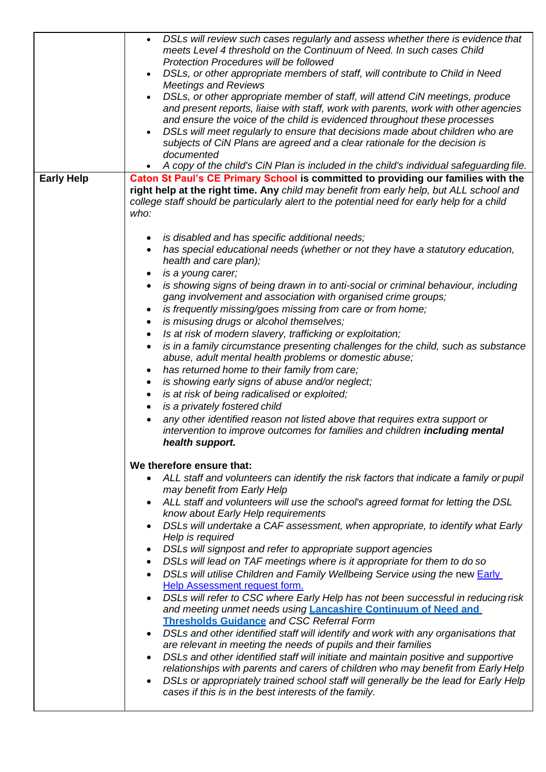|                   | DSLs will review such cases regularly and assess whether there is evidence that<br>$\bullet$<br>meets Level 4 threshold on the Continuum of Need. In such cases Child<br><b>Protection Procedures will be followed</b><br>DSLs, or other appropriate members of staff, will contribute to Child in Need<br>$\bullet$<br><b>Meetings and Reviews</b><br>DSLs, or other appropriate member of staff, will attend CiN meetings, produce<br>$\bullet$<br>and present reports, liaise with staff, work with parents, work with other agencies<br>and ensure the voice of the child is evidenced throughout these processes<br>DSLs will meet regularly to ensure that decisions made about children who are<br>$\bullet$<br>subjects of CiN Plans are agreed and a clear rationale for the decision is<br>documented |
|-------------------|-----------------------------------------------------------------------------------------------------------------------------------------------------------------------------------------------------------------------------------------------------------------------------------------------------------------------------------------------------------------------------------------------------------------------------------------------------------------------------------------------------------------------------------------------------------------------------------------------------------------------------------------------------------------------------------------------------------------------------------------------------------------------------------------------------------------|
|                   | A copy of the child's CiN Plan is included in the child's individual safeguarding file.<br>$\bullet$                                                                                                                                                                                                                                                                                                                                                                                                                                                                                                                                                                                                                                                                                                            |
| <b>Early Help</b> | Caton St Paul's CE Primary School is committed to providing our families with the<br>right help at the right time. Any child may benefit from early help, but ALL school and<br>college staff should be particularly alert to the potential need for early help for a child<br>who:                                                                                                                                                                                                                                                                                                                                                                                                                                                                                                                             |
|                   | is disabled and has specific additional needs;<br>$\bullet$<br>has special educational needs (whether or not they have a statutory education,<br>$\bullet$<br>health and care plan);<br>is a young carer;<br>٠                                                                                                                                                                                                                                                                                                                                                                                                                                                                                                                                                                                                  |
|                   | is showing signs of being drawn in to anti-social or criminal behaviour, including<br>$\bullet$<br>gang involvement and association with organised crime groups;<br>is frequently missing/goes missing from care or from home;<br>$\bullet$                                                                                                                                                                                                                                                                                                                                                                                                                                                                                                                                                                     |
|                   | is misusing drugs or alcohol themselves;<br>$\bullet$                                                                                                                                                                                                                                                                                                                                                                                                                                                                                                                                                                                                                                                                                                                                                           |
|                   | Is at risk of modern slavery, trafficking or exploitation;<br>$\bullet$                                                                                                                                                                                                                                                                                                                                                                                                                                                                                                                                                                                                                                                                                                                                         |
|                   | is in a family circumstance presenting challenges for the child, such as substance<br>$\bullet$<br>abuse, adult mental health problems or domestic abuse;<br>has returned home to their family from care;<br>$\bullet$                                                                                                                                                                                                                                                                                                                                                                                                                                                                                                                                                                                          |
|                   | is showing early signs of abuse and/or neglect;<br>$\bullet$                                                                                                                                                                                                                                                                                                                                                                                                                                                                                                                                                                                                                                                                                                                                                    |
|                   | is at risk of being radicalised or exploited;<br>$\bullet$                                                                                                                                                                                                                                                                                                                                                                                                                                                                                                                                                                                                                                                                                                                                                      |
|                   | is a privately fostered child<br>$\bullet$                                                                                                                                                                                                                                                                                                                                                                                                                                                                                                                                                                                                                                                                                                                                                                      |
|                   | any other identified reason not listed above that requires extra support or<br>$\bullet$<br>intervention to improve outcomes for families and children <b>including mental</b><br>health support.                                                                                                                                                                                                                                                                                                                                                                                                                                                                                                                                                                                                               |
|                   | We therefore ensure that:                                                                                                                                                                                                                                                                                                                                                                                                                                                                                                                                                                                                                                                                                                                                                                                       |
|                   | ALL staff and volunteers can identify the risk factors that indicate a family or pupil<br>$\bullet$<br>may benefit from Early Help                                                                                                                                                                                                                                                                                                                                                                                                                                                                                                                                                                                                                                                                              |
|                   | ALL staff and volunteers will use the school's agreed format for letting the DSL<br>$\bullet$<br>know about Early Help requirements                                                                                                                                                                                                                                                                                                                                                                                                                                                                                                                                                                                                                                                                             |
|                   | DSLs will undertake a CAF assessment, when appropriate, to identify what Early<br>$\bullet$<br>Help is required                                                                                                                                                                                                                                                                                                                                                                                                                                                                                                                                                                                                                                                                                                 |
|                   | DSLs will signpost and refer to appropriate support agencies<br>$\bullet$                                                                                                                                                                                                                                                                                                                                                                                                                                                                                                                                                                                                                                                                                                                                       |
|                   | DSLs will lead on TAF meetings where is it appropriate for them to do so<br>$\bullet$                                                                                                                                                                                                                                                                                                                                                                                                                                                                                                                                                                                                                                                                                                                           |
|                   | DSLs will utilise Children and Family Wellbeing Service using the new Early<br>$\bullet$<br>Help Assessment request form.                                                                                                                                                                                                                                                                                                                                                                                                                                                                                                                                                                                                                                                                                       |
|                   | DSLs will refer to CSC where Early Help has not been successful in reducing risk<br>$\bullet$<br>and meeting unmet needs using <b>Lancashire Continuum of Need and</b>                                                                                                                                                                                                                                                                                                                                                                                                                                                                                                                                                                                                                                          |
|                   | <b>Thresholds Guidance and CSC Referral Form</b><br>DSLs and other identified staff will identify and work with any organisations that<br>$\bullet$                                                                                                                                                                                                                                                                                                                                                                                                                                                                                                                                                                                                                                                             |
|                   | are relevant in meeting the needs of pupils and their families                                                                                                                                                                                                                                                                                                                                                                                                                                                                                                                                                                                                                                                                                                                                                  |
|                   | DSLs and other identified staff will initiate and maintain positive and supportive<br>$\bullet$<br>relationships with parents and carers of children who may benefit from Early Help<br>DSLs or appropriately trained school staff will generally be the lead for Early Help<br>٠<br>cases if this is in the best interests of the family.                                                                                                                                                                                                                                                                                                                                                                                                                                                                      |
|                   |                                                                                                                                                                                                                                                                                                                                                                                                                                                                                                                                                                                                                                                                                                                                                                                                                 |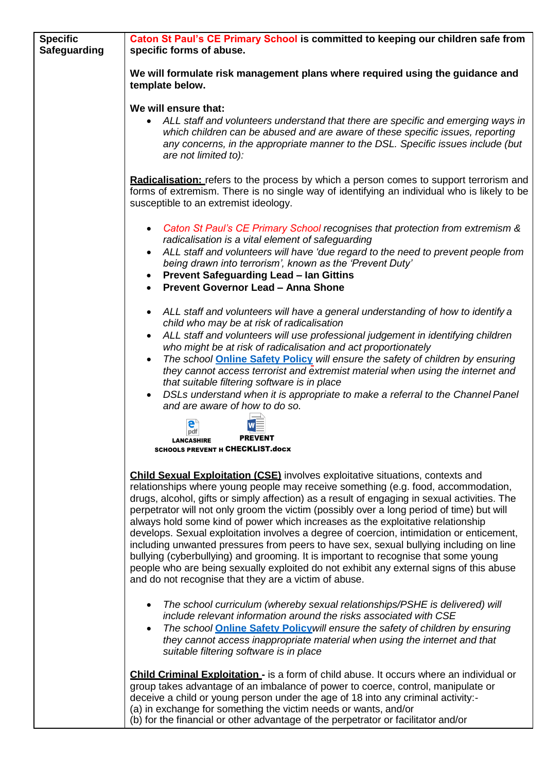| <b>Specific</b><br><b>Safeguarding</b> | Caton St Paul's CE Primary School is committed to keeping our children safe from<br>specific forms of abuse.                                                                                                                                                                                                                                                                                                                                                                                                                                                                                                                                                                                                                                                                                                                                                                                |
|----------------------------------------|---------------------------------------------------------------------------------------------------------------------------------------------------------------------------------------------------------------------------------------------------------------------------------------------------------------------------------------------------------------------------------------------------------------------------------------------------------------------------------------------------------------------------------------------------------------------------------------------------------------------------------------------------------------------------------------------------------------------------------------------------------------------------------------------------------------------------------------------------------------------------------------------|
|                                        | We will formulate risk management plans where required using the guidance and<br>template below.                                                                                                                                                                                                                                                                                                                                                                                                                                                                                                                                                                                                                                                                                                                                                                                            |
|                                        | We will ensure that:<br>• ALL staff and volunteers understand that there are specific and emerging ways in<br>which children can be abused and are aware of these specific issues, reporting<br>any concerns, in the appropriate manner to the DSL. Specific issues include (but<br>are not limited to):                                                                                                                                                                                                                                                                                                                                                                                                                                                                                                                                                                                    |
|                                        | <b>Radicalisation:</b> refers to the process by which a person comes to support terrorism and<br>forms of extremism. There is no single way of identifying an individual who is likely to be<br>susceptible to an extremist ideology.                                                                                                                                                                                                                                                                                                                                                                                                                                                                                                                                                                                                                                                       |
|                                        | Caton St Paul's CE Primary School recognises that protection from extremism &<br>radicalisation is a vital element of safeguarding                                                                                                                                                                                                                                                                                                                                                                                                                                                                                                                                                                                                                                                                                                                                                          |
|                                        | ALL staff and volunteers will have 'due regard to the need to prevent people from<br>$\bullet$<br>being drawn into terrorism', known as the 'Prevent Duty'<br><b>Prevent Safeguarding Lead - Ian Gittins</b><br>$\bullet$<br><b>Prevent Governor Lead - Anna Shone</b>                                                                                                                                                                                                                                                                                                                                                                                                                                                                                                                                                                                                                      |
|                                        | ALL staff and volunteers will have a general understanding of how to identify a<br>$\bullet$<br>child who may be at risk of radicalisation<br>ALL staff and volunteers will use professional judgement in identifying children<br>$\bullet$<br>who might be at risk of radicalisation and act proportionately<br>The school <b>Online Safety Policy</b> will ensure the safety of children by ensuring<br>$\bullet$<br>they cannot access terrorist and extremist material when using the internet and<br>that suitable filtering software is in place<br>DSLs understand when it is appropriate to make a referral to the Channel Panel<br>and are aware of how to do so.                                                                                                                                                                                                                  |
|                                        | pdf<br><b>PREVENT</b><br><b>I ANCASHIRE</b><br><b>SCHOOLS PREVENT H CHECKLIST.docx</b>                                                                                                                                                                                                                                                                                                                                                                                                                                                                                                                                                                                                                                                                                                                                                                                                      |
|                                        | <b>Child Sexual Exploitation (CSE)</b> involves exploitative situations, contexts and<br>relationships where young people may receive something (e.g. food, accommodation,<br>drugs, alcohol, gifts or simply affection) as a result of engaging in sexual activities. The<br>perpetrator will not only groom the victim (possibly over a long period of time) but will<br>always hold some kind of power which increases as the exploitative relationship<br>develops. Sexual exploitation involves a degree of coercion, intimidation or enticement,<br>including unwanted pressures from peers to have sex, sexual bullying including on line<br>bullying (cyberbullying) and grooming. It is important to recognise that some young<br>people who are being sexually exploited do not exhibit any external signs of this abuse<br>and do not recognise that they are a victim of abuse. |
|                                        | The school curriculum (whereby sexual relationships/PSHE is delivered) will<br>include relevant information around the risks associated with CSE<br>The school <b>Online Safety Policy</b> will ensure the safety of children by ensuring<br>they cannot access inappropriate material when using the internet and that<br>suitable filtering software is in place                                                                                                                                                                                                                                                                                                                                                                                                                                                                                                                          |
|                                        | Child Criminal Exploitation - is a form of child abuse. It occurs where an individual or<br>group takes advantage of an imbalance of power to coerce, control, manipulate or<br>deceive a child or young person under the age of 18 into any criminal activity:-<br>(a) in exchange for something the victim needs or wants, and/or<br>(b) for the financial or other advantage of the perpetrator or facilitator and/or                                                                                                                                                                                                                                                                                                                                                                                                                                                                    |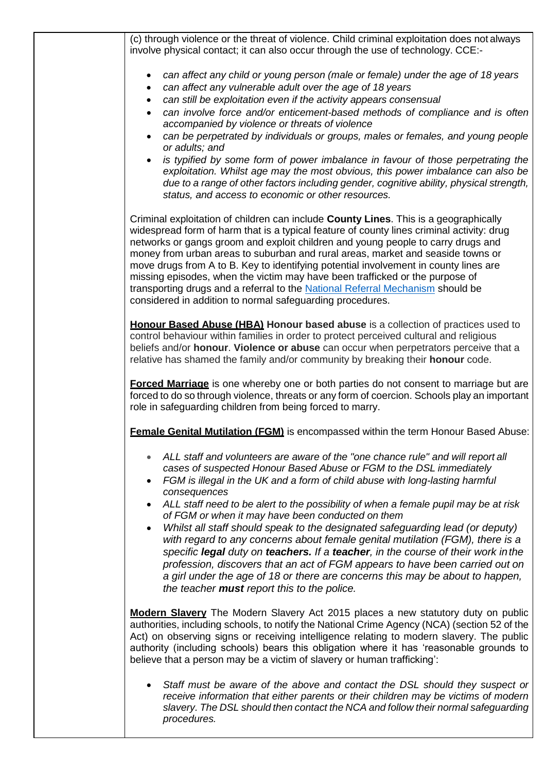(c) through violence or the threat of violence. Child criminal exploitation does not always involve physical contact; it can also occur through the use of technology. CCE:-

- *can affect any child or young person (male or female) under the age of 18 years*
- *can affect any vulnerable adult over the age of 18 years*
- *can still be exploitation even if the activity appears consensual*
- *can involve force and/or enticement-based methods of compliance and is often accompanied by violence or threats of violence*
- *can be perpetrated by individuals or groups, males or females, and young people or adults; and*
- is typified by some form of power imbalance in favour of those perpetrating the *exploitation. Whilst age may the most obvious, this power imbalance can also be due to a range of other factors including gender, cognitive ability, physical strength, status, and access to economic or other resources.*

Criminal exploitation of children can include **County Lines**. This is a geographically widespread form of harm that is a typical feature of county lines criminal activity: drug networks or gangs groom and exploit children and young people to carry drugs and money from urban areas to suburban and rural areas, market and seaside towns or move drugs from A to B. Key to identifying potential involvement in county lines are missing episodes, when the victim may have been trafficked or the purpose of transporting drugs and a referral to the [National Referral Mechanism](https://www.gov.uk/government/publications/human-trafficking-victims-referral-and-assessment-forms/guidance-on-the-national-referral-mechanism-for-potential-adult-victims-of-modern-slavery-england-and-wales#what-the-national-referral-mechanism-is) should be considered in addition to normal safeguarding procedures.

**Honour Based Abuse (HBA) Honour based abuse** is a collection of practices used to control behaviour within families in order to protect perceived cultural and religious beliefs and/or **honour**. **Violence or abuse** can occur when perpetrators perceive that a relative has shamed the family and/or community by breaking their **honour** code.

**Forced Marriage** is one whereby one or both parties do not consent to marriage but are forced to do so through violence, threats or any form of coercion. Schools play an important role in safeguarding children from being forced to marry.

**Female Genital Mutilation (FGM)** is encompassed within the term Honour Based Abuse:

- ALL staff and volunteers are aware of the "one chance rule" and will report all *cases of suspected Honour Based Abuse or FGM to the DSL immediately*
- *FGM is illegal in the UK and a form of child abuse with long-lasting harmful consequences*
- *ALL staff need to be alert to the possibility of when a female pupil may be at risk of FGM or when it may have been conducted on them*
- *Whilst all staff should speak to the designated safeguarding lead (or deputy) with regard to any concerns about female genital mutilation (FGM), there is a specific legal duty on teachers. If a teacher, in the course of their work inthe profession, discovers that an act of FGM appears to have been carried out on a girl under the age of 18 or there are concerns this may be about to happen, the teacher must report this to the police.*

**Modern Slavery** The Modern Slavery Act 2015 places a new statutory duty on public authorities, including schools, to notify the National Crime Agency (NCA) (section 52 of the Act) on observing signs or receiving intelligence relating to modern slavery. The public authority (including schools) bears this obligation where it has 'reasonable grounds to believe that a person may be a victim of slavery or human trafficking':

• *Staff must be aware of the above and contact the DSL should they suspect or receive information that either parents or their children may be victims of modern slavery. The DSL should then contact the NCA and follow their normal safeguarding procedures.*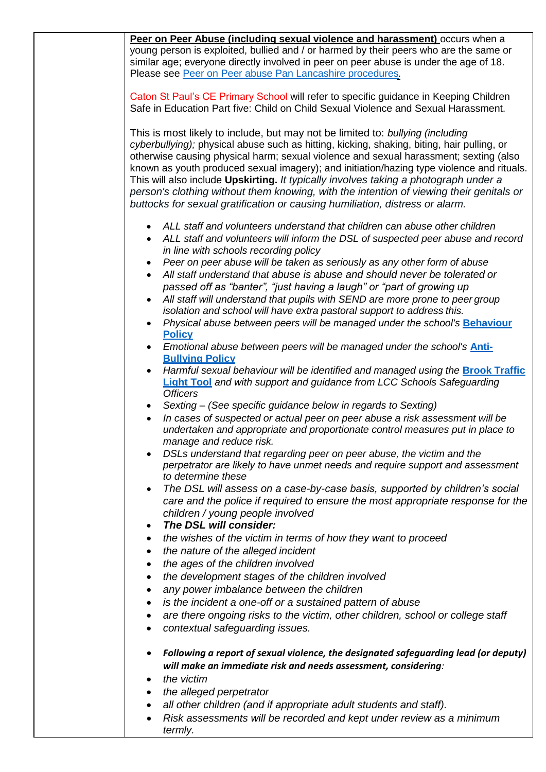|           | Peer on Peer Abuse (including sexual violence and harassment) occurs when a<br>young person is exploited, bullied and / or harmed by their peers who are the same or                                                                                                                                                                                                                                                                                  |  |  |
|-----------|-------------------------------------------------------------------------------------------------------------------------------------------------------------------------------------------------------------------------------------------------------------------------------------------------------------------------------------------------------------------------------------------------------------------------------------------------------|--|--|
|           | similar age; everyone directly involved in peer on peer abuse is under the age of 18.                                                                                                                                                                                                                                                                                                                                                                 |  |  |
|           | Please see Peer on Peer abuse Pan Lancashire procedures.                                                                                                                                                                                                                                                                                                                                                                                              |  |  |
|           | Caton St Paul's CE Primary School will refer to specific guidance in Keeping Children<br>Safe in Education Part five: Child on Child Sexual Violence and Sexual Harassment.                                                                                                                                                                                                                                                                           |  |  |
|           | This is most likely to include, but may not be limited to: bullying (including<br>cyberbullying); physical abuse such as hitting, kicking, shaking, biting, hair pulling, or                                                                                                                                                                                                                                                                          |  |  |
|           | otherwise causing physical harm; sexual violence and sexual harassment; sexting (also<br>known as youth produced sexual imagery); and initiation/hazing type violence and rituals.<br>This will also include Upskirting. It typically involves taking a photograph under a<br>person's clothing without them knowing, with the intention of viewing their genitals or<br>buttocks for sexual gratification or causing humiliation, distress or alarm. |  |  |
|           | ALL staff and volunteers understand that children can abuse other children                                                                                                                                                                                                                                                                                                                                                                            |  |  |
| $\bullet$ | ALL staff and volunteers will inform the DSL of suspected peer abuse and record<br>in line with schools recording policy                                                                                                                                                                                                                                                                                                                              |  |  |
| $\bullet$ | Peer on peer abuse will be taken as seriously as any other form of abuse                                                                                                                                                                                                                                                                                                                                                                              |  |  |
| $\bullet$ | All staff understand that abuse is abuse and should never be tolerated or<br>passed off as "banter", "just having a laugh" or "part of growing up                                                                                                                                                                                                                                                                                                     |  |  |
|           | All staff will understand that pupils with SEND are more prone to peer group                                                                                                                                                                                                                                                                                                                                                                          |  |  |
| $\bullet$ | isolation and school will have extra pastoral support to address this.<br>Physical abuse between peers will be managed under the school's Behaviour                                                                                                                                                                                                                                                                                                   |  |  |
|           | <b>Policy</b>                                                                                                                                                                                                                                                                                                                                                                                                                                         |  |  |
|           | Emotional abuse between peers will be managed under the school's Anti-<br><b>Bullving Policy</b>                                                                                                                                                                                                                                                                                                                                                      |  |  |
|           | Harmful sexual behaviour will be identified and managed using the <b>Brook Traffic</b><br><b>Light Tool</b> and with support and guidance from LCC Schools Safeguarding<br><b>Officers</b>                                                                                                                                                                                                                                                            |  |  |
|           | Sexting - (See specific guidance below in regards to Sexting)                                                                                                                                                                                                                                                                                                                                                                                         |  |  |
| $\bullet$ | In cases of suspected or actual peer on peer abuse a risk assessment will be<br>undertaken and appropriate and proportionate control measures put in place to<br>manage and reduce risk.                                                                                                                                                                                                                                                              |  |  |
|           | DSLs understand that regarding peer on peer abuse, the victim and the<br>perpetrator are likely to have unmet needs and require support and assessment<br>to determine these                                                                                                                                                                                                                                                                          |  |  |
| $\bullet$ | The DSL will assess on a case-by-case basis, supported by children's social<br>care and the police if required to ensure the most appropriate response for the                                                                                                                                                                                                                                                                                        |  |  |
| ٠         | children / young people involved<br>The DSL will consider:                                                                                                                                                                                                                                                                                                                                                                                            |  |  |
| ٠         | the wishes of the victim in terms of how they want to proceed                                                                                                                                                                                                                                                                                                                                                                                         |  |  |
| ٠         | the nature of the alleged incident                                                                                                                                                                                                                                                                                                                                                                                                                    |  |  |
| ٠         | the ages of the children involved                                                                                                                                                                                                                                                                                                                                                                                                                     |  |  |
| ٠         | the development stages of the children involved                                                                                                                                                                                                                                                                                                                                                                                                       |  |  |
| $\bullet$ | any power imbalance between the children                                                                                                                                                                                                                                                                                                                                                                                                              |  |  |
| ٠<br>٠    | is the incident a one-off or a sustained pattern of abuse<br>are there ongoing risks to the victim, other children, school or college staff                                                                                                                                                                                                                                                                                                           |  |  |
| $\bullet$ | contextual safeguarding issues.                                                                                                                                                                                                                                                                                                                                                                                                                       |  |  |
| ٠         | Following a report of sexual violence, the designated safeguarding lead (or deputy)<br>will make an immediate risk and needs assessment, considering:                                                                                                                                                                                                                                                                                                 |  |  |
| ٠         | the victim                                                                                                                                                                                                                                                                                                                                                                                                                                            |  |  |
| ٠         | the alleged perpetrator                                                                                                                                                                                                                                                                                                                                                                                                                               |  |  |
| $\bullet$ | all other children (and if appropriate adult students and staff).                                                                                                                                                                                                                                                                                                                                                                                     |  |  |
|           | Risk assessments will be recorded and kept under review as a minimum<br>termly.                                                                                                                                                                                                                                                                                                                                                                       |  |  |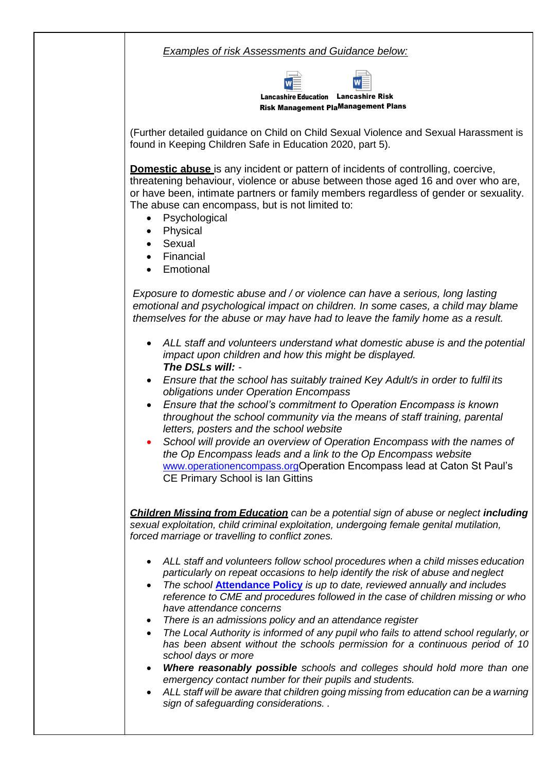*Examples of risk Assessments and Guidance below:*



(Further detailed guidance on Child on Child Sexual Violence and Sexual Harassment is found in Keeping Children Safe in Education 2020, part 5).

**Domestic abuse** is any incident or pattern of incidents of controlling, coercive, threatening behaviour, violence or abuse between those aged 16 and over who are, or have been, intimate partners or family members regardless of gender or sexuality. The abuse can encompass, but is not limited to:

- **Psychological**
- **Physical**
- **Sexual**
- **Financial**
- **Emotional**

*Exposure to domestic abuse and / or violence can have a serious, long lasting emotional and psychological impact on children. In some cases, a child may blame themselves for the abuse or may have had to leave the family home as a result.*

- *ALL staff and volunteers understand what domestic abuse is and the potential impact upon children and how this might be displayed. The DSLs will: -*
- *Ensure that the school has suitably trained Key Adult/s in order to fulfil its obligations under Operation Encompass*
- *Ensure that the school's commitment to Operation Encompass is known throughout the school community via the means of staff training, parental letters, posters and the school website*
- *School will provide an overview of Operation Encompass with the names of the Op Encompass leads and a link to the Op Encompass website*  [www.operationencompass.org](http://www.operationencompass.org/)Operation Encompass lead at Caton St Paul's CE Primary School is Ian Gittins

*Children Missing from Education can be a potential sign of abuse or neglect including sexual exploitation, child criminal exploitation, undergoing female genital mutilation, forced marriage or travelling to conflict zones.*

- *ALL staff and volunteers follow school procedures when a child misses education particularly on repeat occasions to help identify the risk of abuse and neglect*
- *The school* **[Attendance Policy](https://8883521.sharepoint.com/sites/SLTeam/Shared%20Documents/2020-21/Policies/2020-21/Attendance%20policy%20Spring%202021.docx)** *is up to date, reviewed annually and includes reference to CME and procedures followed in the case of children missing or who have attendance concerns*
- *There is an admissions policy and an attendance register*
- *The Local Authority is informed of any pupil who fails to attend school regularly, or has been absent without the schools permission for a continuous period of 10 school days or more*
- *Where reasonably possible schools and colleges should hold more than one emergency contact number for their pupils and students.*
- *ALL staff will be aware that children going missing from education can be a warning sign of safeguarding considerations. .*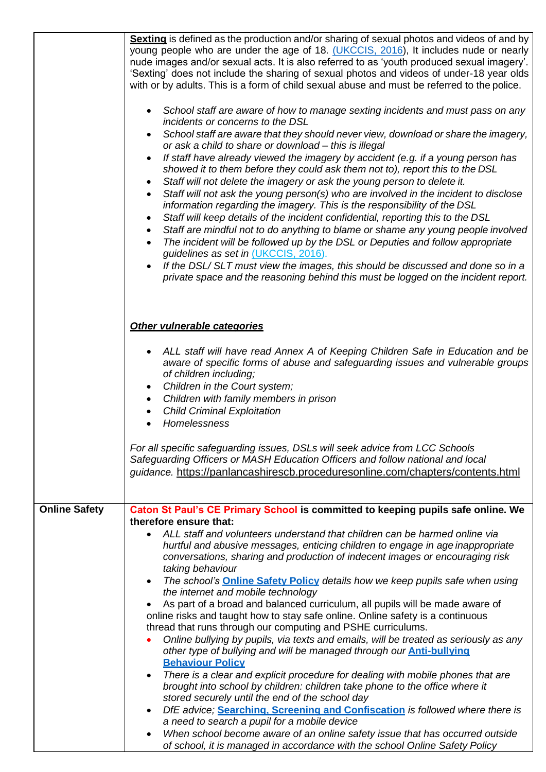|                      | Sexting is defined as the production and/or sharing of sexual photos and videos of and by<br>young people who are under the age of 18. (UKCCIS, 2016), It includes nude or nearly<br>nude images and/or sexual acts. It is also referred to as 'youth produced sexual imagery'.<br>'Sexting' does not include the sharing of sexual photos and videos of under-18 year olds<br>with or by adults. This is a form of child sexual abuse and must be referred to the police.<br>• School staff are aware of how to manage sexting incidents and must pass on any<br>incidents or concerns to the DSL<br>School staff are aware that they should never view, download or share the imagery,<br>$\bullet$<br>or ask a child to share or download - this is illegal<br>If staff have already viewed the imagery by accident (e.g. if a young person has<br>$\bullet$<br>showed it to them before they could ask them not to), report this to the DSL<br>Staff will not delete the imagery or ask the young person to delete it.<br>Staff will not ask the young person(s) who are involved in the incident to disclose<br>information regarding the imagery. This is the responsibility of the DSL<br>Staff will keep details of the incident confidential, reporting this to the DSL<br>$\bullet$<br>Staff are mindful not to do anything to blame or shame any young people involved<br>The incident will be followed up by the DSL or Deputies and follow appropriate<br>guidelines as set in (UKCCIS, 2016).<br>If the DSL/SLT must view the images, this should be discussed and done so in a<br>private space and the reasoning behind this must be logged on the incident report. |
|----------------------|-------------------------------------------------------------------------------------------------------------------------------------------------------------------------------------------------------------------------------------------------------------------------------------------------------------------------------------------------------------------------------------------------------------------------------------------------------------------------------------------------------------------------------------------------------------------------------------------------------------------------------------------------------------------------------------------------------------------------------------------------------------------------------------------------------------------------------------------------------------------------------------------------------------------------------------------------------------------------------------------------------------------------------------------------------------------------------------------------------------------------------------------------------------------------------------------------------------------------------------------------------------------------------------------------------------------------------------------------------------------------------------------------------------------------------------------------------------------------------------------------------------------------------------------------------------------------------------------------------------------------------------------------------------------------------------|
|                      | Other vulnerable categories                                                                                                                                                                                                                                                                                                                                                                                                                                                                                                                                                                                                                                                                                                                                                                                                                                                                                                                                                                                                                                                                                                                                                                                                                                                                                                                                                                                                                                                                                                                                                                                                                                                         |
|                      | ALL staff will have read Annex A of Keeping Children Safe in Education and be<br>aware of specific forms of abuse and safeguarding issues and vulnerable groups<br>of children including;<br>Children in the Court system;<br>Children with family members in prison                                                                                                                                                                                                                                                                                                                                                                                                                                                                                                                                                                                                                                                                                                                                                                                                                                                                                                                                                                                                                                                                                                                                                                                                                                                                                                                                                                                                                |
|                      | <b>Child Criminal Exploitation</b><br>Homelessness                                                                                                                                                                                                                                                                                                                                                                                                                                                                                                                                                                                                                                                                                                                                                                                                                                                                                                                                                                                                                                                                                                                                                                                                                                                                                                                                                                                                                                                                                                                                                                                                                                  |
|                      | For all specific safeguarding issues, DSLs will seek advice from LCC Schools<br>Safeguarding Officers or MASH Education Officers and follow national and local<br>guidance. https://panlancashirescb.proceduresonline.com/chapters/contents.html                                                                                                                                                                                                                                                                                                                                                                                                                                                                                                                                                                                                                                                                                                                                                                                                                                                                                                                                                                                                                                                                                                                                                                                                                                                                                                                                                                                                                                    |
| <b>Online Safety</b> | Caton St Paul's CE Primary School is committed to keeping pupils safe online. We                                                                                                                                                                                                                                                                                                                                                                                                                                                                                                                                                                                                                                                                                                                                                                                                                                                                                                                                                                                                                                                                                                                                                                                                                                                                                                                                                                                                                                                                                                                                                                                                    |
|                      | therefore ensure that:<br>ALL staff and volunteers understand that children can be harmed online via                                                                                                                                                                                                                                                                                                                                                                                                                                                                                                                                                                                                                                                                                                                                                                                                                                                                                                                                                                                                                                                                                                                                                                                                                                                                                                                                                                                                                                                                                                                                                                                |
|                      | hurtful and abusive messages, enticing children to engage in age inappropriate<br>conversations, sharing and production of indecent images or encouraging risk<br>taking behaviour                                                                                                                                                                                                                                                                                                                                                                                                                                                                                                                                                                                                                                                                                                                                                                                                                                                                                                                                                                                                                                                                                                                                                                                                                                                                                                                                                                                                                                                                                                  |
|                      | The school's <b>Online Safety Policy</b> details how we keep pupils safe when using<br>$\bullet$<br>the internet and mobile technology                                                                                                                                                                                                                                                                                                                                                                                                                                                                                                                                                                                                                                                                                                                                                                                                                                                                                                                                                                                                                                                                                                                                                                                                                                                                                                                                                                                                                                                                                                                                              |
|                      | As part of a broad and balanced curriculum, all pupils will be made aware of<br>online risks and taught how to stay safe online. Online safety is a continuous                                                                                                                                                                                                                                                                                                                                                                                                                                                                                                                                                                                                                                                                                                                                                                                                                                                                                                                                                                                                                                                                                                                                                                                                                                                                                                                                                                                                                                                                                                                      |
|                      | thread that runs through our computing and PSHE curriculums.<br>Online bullying by pupils, via texts and emails, will be treated as seriously as any<br>other type of bullying and will be managed through our <b>Anti-bullying</b>                                                                                                                                                                                                                                                                                                                                                                                                                                                                                                                                                                                                                                                                                                                                                                                                                                                                                                                                                                                                                                                                                                                                                                                                                                                                                                                                                                                                                                                 |
|                      | <b>Behaviour Policy</b><br>There is a clear and explicit procedure for dealing with mobile phones that are<br>$\bullet$<br>brought into school by children: children take phone to the office where it                                                                                                                                                                                                                                                                                                                                                                                                                                                                                                                                                                                                                                                                                                                                                                                                                                                                                                                                                                                                                                                                                                                                                                                                                                                                                                                                                                                                                                                                              |
|                      | stored securely until the end of the school day                                                                                                                                                                                                                                                                                                                                                                                                                                                                                                                                                                                                                                                                                                                                                                                                                                                                                                                                                                                                                                                                                                                                                                                                                                                                                                                                                                                                                                                                                                                                                                                                                                     |
|                      | DfE advice; Searching, Screening and Confiscation is followed where there is<br>$\bullet$<br>a need to search a pupil for a mobile device                                                                                                                                                                                                                                                                                                                                                                                                                                                                                                                                                                                                                                                                                                                                                                                                                                                                                                                                                                                                                                                                                                                                                                                                                                                                                                                                                                                                                                                                                                                                           |
|                      | When school become aware of an online safety issue that has occurred outside<br>٠<br>of school, it is managed in accordance with the school Online Safety Policy                                                                                                                                                                                                                                                                                                                                                                                                                                                                                                                                                                                                                                                                                                                                                                                                                                                                                                                                                                                                                                                                                                                                                                                                                                                                                                                                                                                                                                                                                                                    |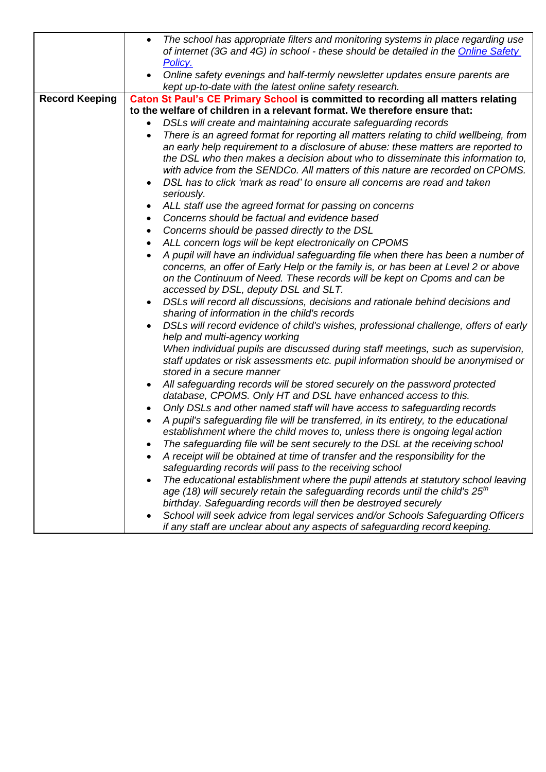|                       | The school has appropriate filters and monitoring systems in place regarding use<br>$\bullet$<br>of internet (3G and 4G) in school - these should be detailed in the Online Safety |  |  |
|-----------------------|------------------------------------------------------------------------------------------------------------------------------------------------------------------------------------|--|--|
|                       | <u>Policy.</u>                                                                                                                                                                     |  |  |
|                       | Online safety evenings and half-termly newsletter updates ensure parents are<br>kept up-to-date with the latest online safety research.                                            |  |  |
| <b>Record Keeping</b> | Caton St Paul's CE Primary School is committed to recording all matters relating                                                                                                   |  |  |
|                       | to the welfare of children in a relevant format. We therefore ensure that:                                                                                                         |  |  |
|                       | DSLs will create and maintaining accurate safeguarding records                                                                                                                     |  |  |
|                       | There is an agreed format for reporting all matters relating to child wellbeing, from                                                                                              |  |  |
|                       | an early help requirement to a disclosure of abuse: these matters are reported to                                                                                                  |  |  |
|                       | the DSL who then makes a decision about who to disseminate this information to,                                                                                                    |  |  |
|                       | with advice from the SENDCo. All matters of this nature are recorded on CPOMS.                                                                                                     |  |  |
|                       | DSL has to click 'mark as read' to ensure all concerns are read and taken                                                                                                          |  |  |
|                       | seriously.                                                                                                                                                                         |  |  |
|                       | ALL staff use the agreed format for passing on concerns                                                                                                                            |  |  |
|                       | Concerns should be factual and evidence based<br>٠                                                                                                                                 |  |  |
|                       | Concerns should be passed directly to the DSL<br>$\bullet$                                                                                                                         |  |  |
|                       | ALL concern logs will be kept electronically on CPOMS                                                                                                                              |  |  |
|                       | A pupil will have an individual safeguarding file when there has been a number of                                                                                                  |  |  |
|                       | concerns, an offer of Early Help or the family is, or has been at Level 2 or above                                                                                                 |  |  |
|                       | on the Continuum of Need. These records will be kept on Cpoms and can be                                                                                                           |  |  |
|                       | accessed by DSL, deputy DSL and SLT.                                                                                                                                               |  |  |
|                       | DSLs will record all discussions, decisions and rationale behind decisions and                                                                                                     |  |  |
|                       | sharing of information in the child's records                                                                                                                                      |  |  |
|                       | DSLs will record evidence of child's wishes, professional challenge, offers of early                                                                                               |  |  |
|                       | help and multi-agency working                                                                                                                                                      |  |  |
|                       | When individual pupils are discussed during staff meetings, such as supervision,                                                                                                   |  |  |
|                       | staff updates or risk assessments etc. pupil information should be anonymised or                                                                                                   |  |  |
|                       | stored in a secure manner                                                                                                                                                          |  |  |
|                       | All safeguarding records will be stored securely on the password protected                                                                                                         |  |  |
|                       | database, CPOMS. Only HT and DSL have enhanced access to this.                                                                                                                     |  |  |
|                       | Only DSLs and other named staff will have access to safeguarding records                                                                                                           |  |  |
|                       | A pupil's safeguarding file will be transferred, in its entirety, to the educational                                                                                               |  |  |
|                       | establishment where the child moves to, unless there is ongoing legal action                                                                                                       |  |  |
|                       | The safeguarding file will be sent securely to the DSL at the receiving school                                                                                                     |  |  |
|                       | A receipt will be obtained at time of transfer and the responsibility for the                                                                                                      |  |  |
|                       | safeguarding records will pass to the receiving school                                                                                                                             |  |  |
|                       | The educational establishment where the pupil attends at statutory school leaving                                                                                                  |  |  |
|                       | age (18) will securely retain the safeguarding records until the child's $25th$                                                                                                    |  |  |
|                       | birthday. Safeguarding records will then be destroyed securely                                                                                                                     |  |  |
|                       | School will seek advice from legal services and/or Schools Safeguarding Officers<br>if any staff are unclear about any aspects of safeguarding record keeping.                     |  |  |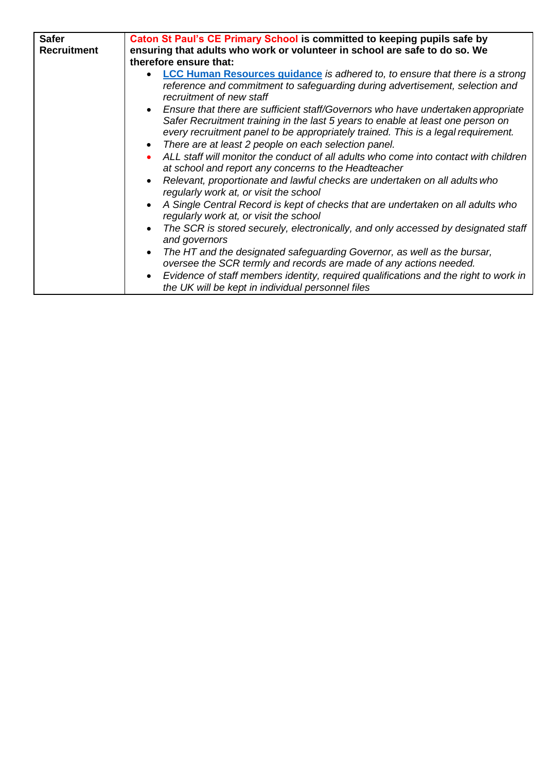| <b>Safer</b><br><b>Recruitment</b> | Caton St Paul's CE Primary School is committed to keeping pupils safe by<br>ensuring that adults who work or volunteer in school are safe to do so. We<br>therefore ensure that:                                                                                                                                              |
|------------------------------------|-------------------------------------------------------------------------------------------------------------------------------------------------------------------------------------------------------------------------------------------------------------------------------------------------------------------------------|
|                                    | <b>LCC Human Resources quidance</b> is adhered to, to ensure that there is a strong<br>reference and commitment to safeguarding during advertisement, selection and<br>recruitment of new staff                                                                                                                               |
|                                    | Ensure that there are sufficient staff/Governors who have undertaken appropriate<br>Safer Recruitment training in the last 5 years to enable at least one person on<br>every recruitment panel to be appropriately trained. This is a legal requirement.<br>There are at least 2 people on each selection panel.<br>$\bullet$ |
|                                    | ALL staff will monitor the conduct of all adults who come into contact with children<br>at school and report any concerns to the Headteacher                                                                                                                                                                                  |
|                                    | Relevant, proportionate and lawful checks are undertaken on all adults who<br>regularly work at, or visit the school                                                                                                                                                                                                          |
|                                    | A Single Central Record is kept of checks that are undertaken on all adults who<br>regularly work at, or visit the school                                                                                                                                                                                                     |
|                                    | The SCR is stored securely, electronically, and only accessed by designated staff<br>and governors                                                                                                                                                                                                                            |
|                                    | The HT and the designated safeguarding Governor, as well as the bursar,<br>oversee the SCR termly and records are made of any actions needed.                                                                                                                                                                                 |
|                                    | Evidence of staff members identity, required qualifications and the right to work in<br>the UK will be kept in individual personnel files                                                                                                                                                                                     |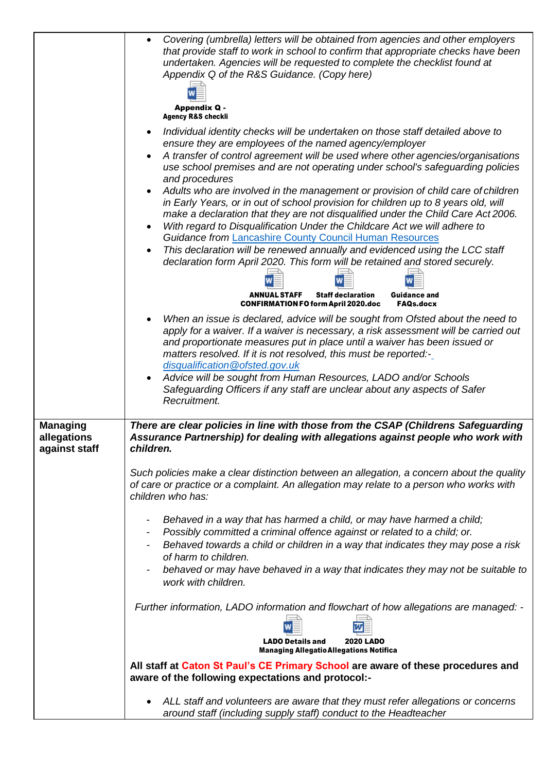|                                                 | Covering (umbrella) letters will be obtained from agencies and other employers<br>$\bullet$<br>that provide staff to work in school to confirm that appropriate checks have been<br>undertaken. Agencies will be requested to complete the checklist found at<br>Appendix Q of the R&S Guidance. (Copy here)<br><b>Appendix Q -</b><br><b>Agency R&amp;S checkli</b><br>Individual identity checks will be undertaken on those staff detailed above to<br>$\bullet$<br>ensure they are employees of the named agency/employer<br>A transfer of control agreement will be used where other agencies/organisations<br>$\bullet$<br>use school premises and are not operating under school's safeguarding policies<br>and procedures<br>Adults who are involved in the management or provision of child care of children<br>$\bullet$<br>in Early Years, or in out of school provision for children up to 8 years old, will<br>make a declaration that they are not disqualified under the Child Care Act 2006.<br>With regard to Disqualification Under the Childcare Act we will adhere to<br>$\bullet$<br><b>Guidance from Lancashire County Council Human Resources</b><br>This declaration will be renewed annually and evidenced using the LCC staff<br>declaration form April 2020. This form will be retained and stored securely.<br><b>ANNUAL STAFF</b><br><b>Staff declaration</b><br><b>Guidance and</b><br><b>CONFIRMATION FO form April 2020.doc</b><br><b>FAQs.docx</b><br>When an issue is declared, advice will be sought from Ofsted about the need to<br>$\bullet$<br>apply for a waiver. If a waiver is necessary, a risk assessment will be carried out |
|-------------------------------------------------|---------------------------------------------------------------------------------------------------------------------------------------------------------------------------------------------------------------------------------------------------------------------------------------------------------------------------------------------------------------------------------------------------------------------------------------------------------------------------------------------------------------------------------------------------------------------------------------------------------------------------------------------------------------------------------------------------------------------------------------------------------------------------------------------------------------------------------------------------------------------------------------------------------------------------------------------------------------------------------------------------------------------------------------------------------------------------------------------------------------------------------------------------------------------------------------------------------------------------------------------------------------------------------------------------------------------------------------------------------------------------------------------------------------------------------------------------------------------------------------------------------------------------------------------------------------------------------------------------------------------------------------------------------------------------|
|                                                 | and proportionate measures put in place until a waiver has been issued or<br>matters resolved. If it is not resolved, this must be reported:-<br>disqualification@ofsted.gov.uk<br>Advice will be sought from Human Resources, LADO and/or Schools<br>$\bullet$<br>Safeguarding Officers if any staff are unclear about any aspects of Safer                                                                                                                                                                                                                                                                                                                                                                                                                                                                                                                                                                                                                                                                                                                                                                                                                                                                                                                                                                                                                                                                                                                                                                                                                                                                                                                              |
|                                                 | Recruitment.                                                                                                                                                                                                                                                                                                                                                                                                                                                                                                                                                                                                                                                                                                                                                                                                                                                                                                                                                                                                                                                                                                                                                                                                                                                                                                                                                                                                                                                                                                                                                                                                                                                              |
| <b>Managing</b><br>allegations<br>against staff | There are clear policies in line with those from the CSAP (Childrens Safeguarding<br>Assurance Partnership) for dealing with allegations against people who work with<br>children.                                                                                                                                                                                                                                                                                                                                                                                                                                                                                                                                                                                                                                                                                                                                                                                                                                                                                                                                                                                                                                                                                                                                                                                                                                                                                                                                                                                                                                                                                        |
|                                                 | Such policies make a clear distinction between an allegation, a concern about the quality<br>of care or practice or a complaint. An allegation may relate to a person who works with<br>children who has:                                                                                                                                                                                                                                                                                                                                                                                                                                                                                                                                                                                                                                                                                                                                                                                                                                                                                                                                                                                                                                                                                                                                                                                                                                                                                                                                                                                                                                                                 |
|                                                 | Behaved in a way that has harmed a child, or may have harmed a child;<br>-<br>Possibly committed a criminal offence against or related to a child; or.<br>$\overline{\phantom{a}}$<br>Behaved towards a child or children in a way that indicates they may pose a risk<br>$\blacksquare$<br>of harm to children.<br>behaved or may have behaved in a way that indicates they may not be suitable to<br>work with children.                                                                                                                                                                                                                                                                                                                                                                                                                                                                                                                                                                                                                                                                                                                                                                                                                                                                                                                                                                                                                                                                                                                                                                                                                                                |
|                                                 | Further information, LADO information and flowchart of how allegations are managed: -<br><b>LADO Details and</b><br><b>2020 LADO</b><br><b>Managing Allegatio Allegations Notifica</b>                                                                                                                                                                                                                                                                                                                                                                                                                                                                                                                                                                                                                                                                                                                                                                                                                                                                                                                                                                                                                                                                                                                                                                                                                                                                                                                                                                                                                                                                                    |
|                                                 | All staff at Caton St Paul's CE Primary School are aware of these procedures and<br>aware of the following expectations and protocol:-                                                                                                                                                                                                                                                                                                                                                                                                                                                                                                                                                                                                                                                                                                                                                                                                                                                                                                                                                                                                                                                                                                                                                                                                                                                                                                                                                                                                                                                                                                                                    |
|                                                 | ALL staff and volunteers are aware that they must refer allegations or concerns<br>٠<br>around staff (including supply staff) conduct to the Headteacher                                                                                                                                                                                                                                                                                                                                                                                                                                                                                                                                                                                                                                                                                                                                                                                                                                                                                                                                                                                                                                                                                                                                                                                                                                                                                                                                                                                                                                                                                                                  |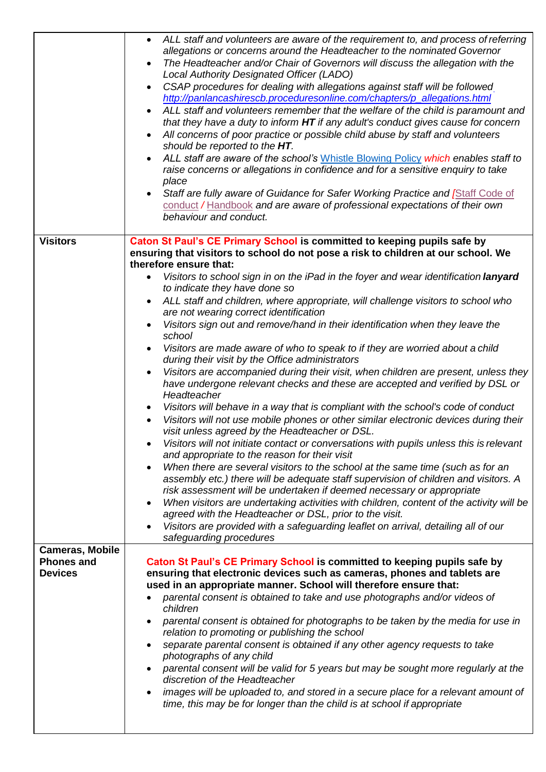|                                     | ALL staff and volunteers are aware of the requirement to, and process of referring<br>$\bullet$<br>allegations or concerns around the Headteacher to the nominated Governor<br>The Headteacher and/or Chair of Governors will discuss the allegation with the<br>Local Authority Designated Officer (LADO)<br>CSAP procedures for dealing with allegations against staff will be followed<br>$\bullet$<br>http://panlancashirescb.proceduresonline.com/chapters/p_allegations.html<br>ALL staff and volunteers remember that the welfare of the child is paramount and<br>$\bullet$<br>that they have a duty to inform HT if any adult's conduct gives cause for concern<br>All concerns of poor practice or possible child abuse by staff and volunteers<br>should be reported to the HT.<br>ALL staff are aware of the school's Whistle Blowing Policy which enables staff to<br>raise concerns or allegations in confidence and for a sensitive enquiry to take<br>place<br>Staff are fully aware of Guidance for Safer Working Practice and Staff Code of<br>conduct / Handbook and are aware of professional expectations of their own<br>behaviour and conduct. |
|-------------------------------------|-----------------------------------------------------------------------------------------------------------------------------------------------------------------------------------------------------------------------------------------------------------------------------------------------------------------------------------------------------------------------------------------------------------------------------------------------------------------------------------------------------------------------------------------------------------------------------------------------------------------------------------------------------------------------------------------------------------------------------------------------------------------------------------------------------------------------------------------------------------------------------------------------------------------------------------------------------------------------------------------------------------------------------------------------------------------------------------------------------------------------------------------------------------------------|
| <b>Visitors</b>                     | Caton St Paul's CE Primary School is committed to keeping pupils safe by<br>ensuring that visitors to school do not pose a risk to children at our school. We                                                                                                                                                                                                                                                                                                                                                                                                                                                                                                                                                                                                                                                                                                                                                                                                                                                                                                                                                                                                         |
|                                     | therefore ensure that:                                                                                                                                                                                                                                                                                                                                                                                                                                                                                                                                                                                                                                                                                                                                                                                                                                                                                                                                                                                                                                                                                                                                                |
|                                     | Visitors to school sign in on the iPad in the foyer and wear identification lanyard<br>$\bullet$                                                                                                                                                                                                                                                                                                                                                                                                                                                                                                                                                                                                                                                                                                                                                                                                                                                                                                                                                                                                                                                                      |
|                                     | to indicate they have done so<br>ALL staff and children, where appropriate, will challenge visitors to school who                                                                                                                                                                                                                                                                                                                                                                                                                                                                                                                                                                                                                                                                                                                                                                                                                                                                                                                                                                                                                                                     |
|                                     | are not wearing correct identification                                                                                                                                                                                                                                                                                                                                                                                                                                                                                                                                                                                                                                                                                                                                                                                                                                                                                                                                                                                                                                                                                                                                |
|                                     | Visitors sign out and remove/hand in their identification when they leave the                                                                                                                                                                                                                                                                                                                                                                                                                                                                                                                                                                                                                                                                                                                                                                                                                                                                                                                                                                                                                                                                                         |
|                                     | school<br>Visitors are made aware of who to speak to if they are worried about a child<br>$\bullet$                                                                                                                                                                                                                                                                                                                                                                                                                                                                                                                                                                                                                                                                                                                                                                                                                                                                                                                                                                                                                                                                   |
|                                     | during their visit by the Office administrators                                                                                                                                                                                                                                                                                                                                                                                                                                                                                                                                                                                                                                                                                                                                                                                                                                                                                                                                                                                                                                                                                                                       |
|                                     | Visitors are accompanied during their visit, when children are present, unless they                                                                                                                                                                                                                                                                                                                                                                                                                                                                                                                                                                                                                                                                                                                                                                                                                                                                                                                                                                                                                                                                                   |
|                                     | have undergone relevant checks and these are accepted and verified by DSL or<br>Headteacher                                                                                                                                                                                                                                                                                                                                                                                                                                                                                                                                                                                                                                                                                                                                                                                                                                                                                                                                                                                                                                                                           |
|                                     | Visitors will behave in a way that is compliant with the school's code of conduct<br>$\bullet$                                                                                                                                                                                                                                                                                                                                                                                                                                                                                                                                                                                                                                                                                                                                                                                                                                                                                                                                                                                                                                                                        |
|                                     | Visitors will not use mobile phones or other similar electronic devices during their                                                                                                                                                                                                                                                                                                                                                                                                                                                                                                                                                                                                                                                                                                                                                                                                                                                                                                                                                                                                                                                                                  |
|                                     | visit unless agreed by the Headteacher or DSL.<br>Visitors will not initiate contact or conversations with pupils unless this is relevant                                                                                                                                                                                                                                                                                                                                                                                                                                                                                                                                                                                                                                                                                                                                                                                                                                                                                                                                                                                                                             |
|                                     | and appropriate to the reason for their visit                                                                                                                                                                                                                                                                                                                                                                                                                                                                                                                                                                                                                                                                                                                                                                                                                                                                                                                                                                                                                                                                                                                         |
|                                     | When there are several visitors to the school at the same time (such as for an<br>assembly etc.) there will be adequate staff supervision of children and visitors. A                                                                                                                                                                                                                                                                                                                                                                                                                                                                                                                                                                                                                                                                                                                                                                                                                                                                                                                                                                                                 |
|                                     | risk assessment will be undertaken if deemed necessary or appropriate                                                                                                                                                                                                                                                                                                                                                                                                                                                                                                                                                                                                                                                                                                                                                                                                                                                                                                                                                                                                                                                                                                 |
|                                     | When visitors are undertaking activities with children, content of the activity will be                                                                                                                                                                                                                                                                                                                                                                                                                                                                                                                                                                                                                                                                                                                                                                                                                                                                                                                                                                                                                                                                               |
|                                     | agreed with the Headteacher or DSL, prior to the visit.<br>Visitors are provided with a safeguarding leaflet on arrival, detailing all of our                                                                                                                                                                                                                                                                                                                                                                                                                                                                                                                                                                                                                                                                                                                                                                                                                                                                                                                                                                                                                         |
|                                     | safeguarding procedures                                                                                                                                                                                                                                                                                                                                                                                                                                                                                                                                                                                                                                                                                                                                                                                                                                                                                                                                                                                                                                                                                                                                               |
| <b>Cameras, Mobile</b>              |                                                                                                                                                                                                                                                                                                                                                                                                                                                                                                                                                                                                                                                                                                                                                                                                                                                                                                                                                                                                                                                                                                                                                                       |
| <b>Phones and</b><br><b>Devices</b> | Caton St Paul's CE Primary School is committed to keeping pupils safe by<br>ensuring that electronic devices such as cameras, phones and tablets are                                                                                                                                                                                                                                                                                                                                                                                                                                                                                                                                                                                                                                                                                                                                                                                                                                                                                                                                                                                                                  |
|                                     | used in an appropriate manner. School will therefore ensure that:                                                                                                                                                                                                                                                                                                                                                                                                                                                                                                                                                                                                                                                                                                                                                                                                                                                                                                                                                                                                                                                                                                     |
|                                     | parental consent is obtained to take and use photographs and/or videos of                                                                                                                                                                                                                                                                                                                                                                                                                                                                                                                                                                                                                                                                                                                                                                                                                                                                                                                                                                                                                                                                                             |
|                                     | children<br>parental consent is obtained for photographs to be taken by the media for use in                                                                                                                                                                                                                                                                                                                                                                                                                                                                                                                                                                                                                                                                                                                                                                                                                                                                                                                                                                                                                                                                          |
|                                     | relation to promoting or publishing the school                                                                                                                                                                                                                                                                                                                                                                                                                                                                                                                                                                                                                                                                                                                                                                                                                                                                                                                                                                                                                                                                                                                        |
|                                     | separate parental consent is obtained if any other agency requests to take<br>photographs of any child                                                                                                                                                                                                                                                                                                                                                                                                                                                                                                                                                                                                                                                                                                                                                                                                                                                                                                                                                                                                                                                                |
|                                     | parental consent will be valid for 5 years but may be sought more regularly at the                                                                                                                                                                                                                                                                                                                                                                                                                                                                                                                                                                                                                                                                                                                                                                                                                                                                                                                                                                                                                                                                                    |
|                                     | discretion of the Headteacher                                                                                                                                                                                                                                                                                                                                                                                                                                                                                                                                                                                                                                                                                                                                                                                                                                                                                                                                                                                                                                                                                                                                         |
|                                     | images will be uploaded to, and stored in a secure place for a relevant amount of<br>$\bullet$<br>time, this may be for longer than the child is at school if appropriate                                                                                                                                                                                                                                                                                                                                                                                                                                                                                                                                                                                                                                                                                                                                                                                                                                                                                                                                                                                             |
|                                     |                                                                                                                                                                                                                                                                                                                                                                                                                                                                                                                                                                                                                                                                                                                                                                                                                                                                                                                                                                                                                                                                                                                                                                       |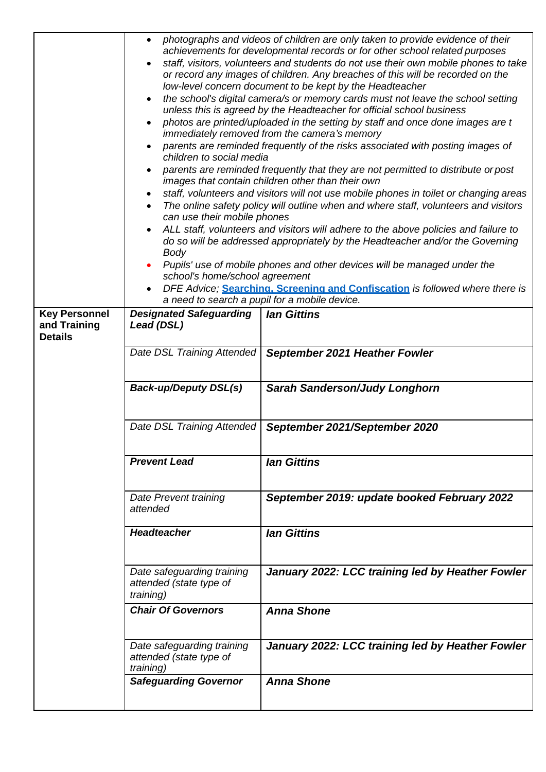|                                                        | photographs and videos of children are only taken to provide evidence of their<br>$\bullet$<br>achievements for developmental records or for other school related purposes<br>staff, visitors, volunteers and students do not use their own mobile phones to take<br>or record any images of children. Any breaches of this will be recorded on the<br>low-level concern document to be kept by the Headteacher<br>the school's digital camera/s or memory cards must not leave the school setting<br>unless this is agreed by the Headteacher for official school business<br>photos are printed/uploaded in the setting by staff and once done images are t<br>immediately removed from the camera's memory<br>parents are reminded frequently of the risks associated with posting images of<br>children to social media<br>parents are reminded frequently that they are not permitted to distribute or post<br>images that contain children other than their own<br>staff, volunteers and visitors will not use mobile phones in toilet or changing areas<br>The online safety policy will outline when and where staff, volunteers and visitors<br>can use their mobile phones<br>ALL staff, volunteers and visitors will adhere to the above policies and failure to<br>do so will be addressed appropriately by the Headteacher and/or the Governing<br>Body<br>Pupils' use of mobile phones and other devices will be managed under the<br>school's home/school agreement<br>DFE Advice; Searching. Screening and Confiscation is followed where there is<br>a need to search a pupil for a mobile device. |                                                  |
|--------------------------------------------------------|---------------------------------------------------------------------------------------------------------------------------------------------------------------------------------------------------------------------------------------------------------------------------------------------------------------------------------------------------------------------------------------------------------------------------------------------------------------------------------------------------------------------------------------------------------------------------------------------------------------------------------------------------------------------------------------------------------------------------------------------------------------------------------------------------------------------------------------------------------------------------------------------------------------------------------------------------------------------------------------------------------------------------------------------------------------------------------------------------------------------------------------------------------------------------------------------------------------------------------------------------------------------------------------------------------------------------------------------------------------------------------------------------------------------------------------------------------------------------------------------------------------------------------------------------------------------------------------------------------------------|--------------------------------------------------|
| <b>Key Personnel</b><br>and Training<br><b>Details</b> | <b>Designated Safeguarding</b><br>Lead (DSL)                                                                                                                                                                                                                                                                                                                                                                                                                                                                                                                                                                                                                                                                                                                                                                                                                                                                                                                                                                                                                                                                                                                                                                                                                                                                                                                                                                                                                                                                                                                                                                        | <b>lan Gittins</b>                               |
|                                                        | Date DSL Training Attended                                                                                                                                                                                                                                                                                                                                                                                                                                                                                                                                                                                                                                                                                                                                                                                                                                                                                                                                                                                                                                                                                                                                                                                                                                                                                                                                                                                                                                                                                                                                                                                          | September 2021 Heather Fowler                    |
|                                                        | <b>Back-up/Deputy DSL(s)</b>                                                                                                                                                                                                                                                                                                                                                                                                                                                                                                                                                                                                                                                                                                                                                                                                                                                                                                                                                                                                                                                                                                                                                                                                                                                                                                                                                                                                                                                                                                                                                                                        | <b>Sarah Sanderson/Judy Longhorn</b>             |
|                                                        | Date DSL Training Attended                                                                                                                                                                                                                                                                                                                                                                                                                                                                                                                                                                                                                                                                                                                                                                                                                                                                                                                                                                                                                                                                                                                                                                                                                                                                                                                                                                                                                                                                                                                                                                                          | September 2021/September 2020                    |
|                                                        | <b>Prevent Lead</b>                                                                                                                                                                                                                                                                                                                                                                                                                                                                                                                                                                                                                                                                                                                                                                                                                                                                                                                                                                                                                                                                                                                                                                                                                                                                                                                                                                                                                                                                                                                                                                                                 | <b>lan Gittins</b>                               |
|                                                        | Date Prevent training<br>attended                                                                                                                                                                                                                                                                                                                                                                                                                                                                                                                                                                                                                                                                                                                                                                                                                                                                                                                                                                                                                                                                                                                                                                                                                                                                                                                                                                                                                                                                                                                                                                                   | September 2019: update booked February 2022      |
|                                                        | <b>Headteacher</b>                                                                                                                                                                                                                                                                                                                                                                                                                                                                                                                                                                                                                                                                                                                                                                                                                                                                                                                                                                                                                                                                                                                                                                                                                                                                                                                                                                                                                                                                                                                                                                                                  | <b>lan Gittins</b>                               |
|                                                        | Date safeguarding training<br>attended (state type of<br>training)                                                                                                                                                                                                                                                                                                                                                                                                                                                                                                                                                                                                                                                                                                                                                                                                                                                                                                                                                                                                                                                                                                                                                                                                                                                                                                                                                                                                                                                                                                                                                  | January 2022: LCC training led by Heather Fowler |
|                                                        | <b>Chair Of Governors</b>                                                                                                                                                                                                                                                                                                                                                                                                                                                                                                                                                                                                                                                                                                                                                                                                                                                                                                                                                                                                                                                                                                                                                                                                                                                                                                                                                                                                                                                                                                                                                                                           | <b>Anna Shone</b>                                |
|                                                        | Date safeguarding training<br>attended (state type of<br><i>training</i> )                                                                                                                                                                                                                                                                                                                                                                                                                                                                                                                                                                                                                                                                                                                                                                                                                                                                                                                                                                                                                                                                                                                                                                                                                                                                                                                                                                                                                                                                                                                                          | January 2022: LCC training led by Heather Fowler |
|                                                        | <b>Safeguarding Governor</b>                                                                                                                                                                                                                                                                                                                                                                                                                                                                                                                                                                                                                                                                                                                                                                                                                                                                                                                                                                                                                                                                                                                                                                                                                                                                                                                                                                                                                                                                                                                                                                                        | <b>Anna Shone</b>                                |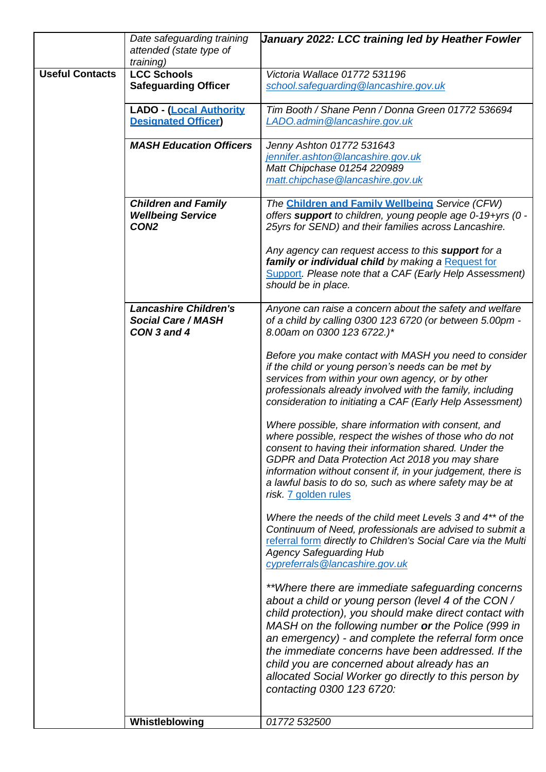|                        | Date safeguarding training<br>attended (state type of<br>training)         | January 2022: LCC training led by Heather Fowler                                                                                                                                                                                                                                                                                                                                                                                                                           |
|------------------------|----------------------------------------------------------------------------|----------------------------------------------------------------------------------------------------------------------------------------------------------------------------------------------------------------------------------------------------------------------------------------------------------------------------------------------------------------------------------------------------------------------------------------------------------------------------|
| <b>Useful Contacts</b> | <b>LCC Schools</b><br><b>Safeguarding Officer</b>                          | Victoria Wallace 01772 531196<br>school.safeguarding@lancashire.gov.uk                                                                                                                                                                                                                                                                                                                                                                                                     |
|                        | <b>LADO - (Local Authority</b><br><b>Designated Officer)</b>               | Tim Booth / Shane Penn / Donna Green 01772 536694<br>LADO.admin@lancashire.gov.uk                                                                                                                                                                                                                                                                                                                                                                                          |
|                        | <b>MASH Education Officers</b>                                             | Jenny Ashton 01772 531643<br>jennifer.ashton@lancashire.gov.uk<br>Matt Chipchase 01254 220989<br>matt.chipchase@lancashire.gov.uk                                                                                                                                                                                                                                                                                                                                          |
|                        | <b>Children and Family</b><br><b>Wellbeing Service</b><br>CON <sub>2</sub> | The Children and Family Wellbeing Service (CFW)<br>offers support to children, young people age 0-19+yrs (0 -<br>25yrs for SEND) and their families across Lancashire.                                                                                                                                                                                                                                                                                                     |
|                        |                                                                            | Any agency can request access to this support for a<br>family or individual child by making a Request for<br>Support. Please note that a CAF (Early Help Assessment)<br>should be in place.                                                                                                                                                                                                                                                                                |
|                        | <b>Lancashire Children's</b><br><b>Social Care / MASH</b><br>CON 3 and 4   | Anyone can raise a concern about the safety and welfare<br>of a child by calling 0300 123 6720 (or between 5.00pm -<br>8.00am on 0300 123 6722.)*                                                                                                                                                                                                                                                                                                                          |
|                        |                                                                            | Before you make contact with MASH you need to consider<br>if the child or young person's needs can be met by<br>services from within your own agency, or by other<br>professionals already involved with the family, including<br>consideration to initiating a CAF (Early Help Assessment)                                                                                                                                                                                |
|                        |                                                                            | Where possible, share information with consent, and<br>where possible, respect the wishes of those who do not<br>consent to having their information shared. Under the<br>GDPR and Data Protection Act 2018 you may share<br>information without consent if, in your judgement, there is<br>a lawful basis to do so, such as where safety may be at<br>risk. 7 golden rules                                                                                                |
|                        |                                                                            | Where the needs of the child meet Levels 3 and 4 <sup>**</sup> of the<br>Continuum of Need, professionals are advised to submit a<br>referral form directly to Children's Social Care via the Multi<br><b>Agency Safeguarding Hub</b><br>cypreferrals@lancashire.gov.uk                                                                                                                                                                                                    |
|                        |                                                                            | **Where there are immediate safeguarding concerns<br>about a child or young person (level 4 of the CON/<br>child protection), you should make direct contact with<br>MASH on the following number or the Police (999 in<br>an emergency) - and complete the referral form once<br>the immediate concerns have been addressed. If the<br>child you are concerned about already has an<br>allocated Social Worker go directly to this person by<br>contacting 0300 123 6720: |
|                        | Whistleblowing                                                             | 01772 532500                                                                                                                                                                                                                                                                                                                                                                                                                                                               |